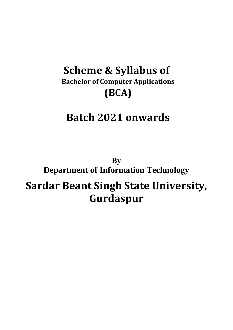# **Scheme & Syllabus of Bachelor of Computer Applications (BCA)**

# **Batch 2021 onwards**

**By Department of Information Technology Sardar Beant Singh State University, Gurdaspur**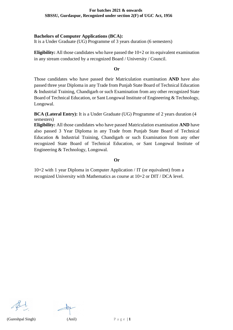# **Bachelors of Computer Applications (BCA):**

It is a Under Graduate (UG) Programme of 3 years duration (6 semesters)

**Eligibility:** All those candidates who have passed the 10+2 or its equivalent examination in any stream conducted by a recognized Board / University / Council.

**Or**

Those candidates who have passed their Matriculation examination **AND** have also passed three year Diploma in any Trade from Punjab State Board of Technical Education & Industrial Training, Chandigarh or such Examination from any other recognized State Board of Technical Education, or Sant Longowal Institute of Engineering & Technology, Longowal.

**BCA (Lateral Entry):** It is a Under Graduate (UG) Programme of 2 years duration (4 semesters)

**Eligibility:** All those candidates who have passed Matriculation examination **AND** have also passed 3 Year Diploma in any Trade from Punjab State Board of Technical Education & Industrial Training, Chandigarh or such Examination from any other recognized State Board of Technical Education, or Sant Longowal Institute of Engineering & Technology, Longowal.

**Or**

10+2 with 1 year Diploma in Computer Application / IT (or equivalent) from a recognized University with Mathematics as course at 10+2 or DIT / DCA level.

(Gureshpal Singh)  $(Anil)$   $P \text{ a } g \text{ e } | \textbf{1}$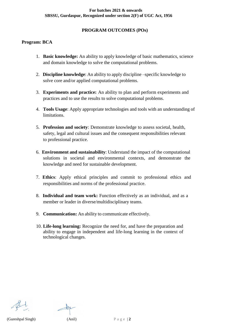# **PROGRAM OUTCOMES (POs)**

# **Program: BCA**

- 1. **Basic knowledge:** An ability to apply knowledge of basic mathematics, science and domain knowledge to solve the computational problems.
- 2. **Discipline knowledge**: An ability to apply discipline –specific knowledge to solve core and/or applied computational problems.
- 3. **Experiments and practice:** An ability to plan and perform experiments and practices and to use the results to solve computational problems.
- 4. **Tools Usage**: Apply appropriate technologies and tools with an understanding of limitations.
- 5. **Profession and society**: Demonstrate knowledge to assess societal, health, safety, legal and cultural issues and the consequent responsibilities relevant to professional practice.
- 6. **Environment and sustainability**: Understand the impact of the computational solutions in societal and environmental contexts, and demonstrate the knowledge and need for sustainable development.
- 7. **Ethics**: Apply ethical principles and commit to professional ethics and responsibilities and norms of the professional practice.
- 8. **Individual and team work:** Function effectively as an individual, and as a member or leader in diverse/multidisciplinary teams.
- 9. **Communication:** An ability to communicate effectively.
- 10. **Life-long learning:** Recognize the need for, and have the preparation and ability to engage in independent and life-long learning in the context of technological changes.

(Gureshpal Singh)  $(Anil)$   $P \text{ a } g \text{ e } | \textbf{2}$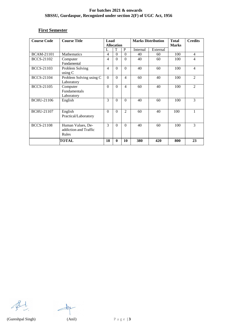# **First Semester**

| <b>Course Code</b> | <b>Course Title</b>                                 | Load                     | <b>Allocation</b> |                | <b>Marks Distribution</b> |          | <b>Total</b><br><b>Marks</b> | <b>Credits</b>              |
|--------------------|-----------------------------------------------------|--------------------------|-------------------|----------------|---------------------------|----------|------------------------------|-----------------------------|
|                    |                                                     | L                        | T                 | P              | Internal                  | External |                              |                             |
| <b>BCAM-21101</b>  | Mathematics                                         | 4                        | $\theta$          | $\Omega$       | 40                        | 60       | 100                          | 4                           |
| <b>BCCS-21102</b>  | Computer<br>Fundamental                             | $\overline{\mathcal{A}}$ | $\Omega$          | $\Omega$       | 40                        | 60       | 100                          | 4                           |
| <b>BCCS-21103</b>  | Problem Solving<br>using $C$                        | $\overline{4}$           | $\Omega$          | $\Omega$       | 40                        | 60       | 100                          | $\overline{4}$              |
| <b>BCCS-21104</b>  | Problem Solving using C<br>Laboratory               | $\Omega$                 | $\Omega$          | $\overline{4}$ | 60                        | 40       | 100                          | $\mathcal{D}_{\mathcal{L}}$ |
| <b>BCCS-21105</b>  | Computer<br><b>Fundamentals</b><br>Laboratory       | $\Omega$                 | $\Omega$          | $\overline{4}$ | 60                        | 40       | 100                          | $\mathfrak{D}$              |
| <b>BCHU-21106</b>  | English                                             | 3                        | $\Omega$          | $\Omega$       | 40                        | 60       | 100                          | 3                           |
| <b>BCHU-21107</b>  | English<br>Practical/Laboratory                     | $\Omega$                 | $\Omega$          | $\mathfrak{D}$ | 60                        | 40       | 100                          |                             |
| <b>BCCS-21108</b>  | Human Values, De-<br>addiction and Traffic<br>Rules | 3                        | $\Omega$          | $\Omega$       | 40                        | 60       | 100                          | $\mathbf{3}$                |
|                    | <b>TOTAL</b>                                        | 18                       | $\mathbf{0}$      | 10             | 380                       | 420      | 800                          | 23                          |

 $\mathscr{B}$ 

 $\frac{1}{2}$ 

(Gureshpal Singh) (Anil) P a g e | **3**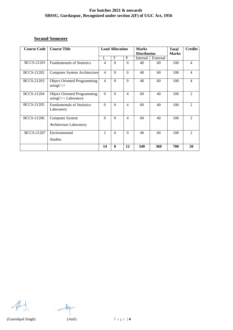# **Second Semester**

| <b>Course Code</b> | <b>Course Title</b>                                         |                | <b>Load Allocation</b> |                | <b>Marks</b><br><b>Distribution</b> |          | <b>Total</b><br><b>Marks</b> | <b>Credits</b> |
|--------------------|-------------------------------------------------------------|----------------|------------------------|----------------|-------------------------------------|----------|------------------------------|----------------|
|                    |                                                             | L              | T                      | P              | Internal                            | External |                              |                |
| <b>BCCS-21201</b>  | <b>Fundamentals of Statistics</b>                           | 4              | $\Omega$               | $\Omega$       | 40                                  | 60       | 100                          | 4              |
| <b>BCCS-21202</b>  | <b>Computer System Architecture</b>                         | $\overline{4}$ | $\Omega$               | $\Omega$       | 40                                  | 60       | 100                          | 4              |
| <b>BCCS-21203</b>  | <b>Object Oriented Programming</b><br>$usingC++$            | $\overline{4}$ | $\Omega$               | $\Omega$       | 40                                  | 60       | 100                          | 4              |
| <b>BCCS-21204</b>  | <b>Object Oriented Programming</b><br>$usingC++ Laboratory$ | $\Omega$       | $\Omega$               | $\overline{4}$ | 60                                  | 40       | 100                          | $\overline{2}$ |
| <b>BCCS-21205</b>  | <b>Fundamentals of Statistics</b><br>Laboratory             | $\Omega$       | $\Omega$               | $\overline{4}$ | 60                                  | 40       | 100                          | $\mathfrak{D}$ |
| <b>BCCS-21206</b>  | Computer System<br>Architecture Laboratory                  | $\theta$       | $\Omega$               | $\overline{4}$ | 60                                  | 40       | 100                          | $\mathfrak{D}$ |
| <b>BCCS-21207</b>  | Environmental                                               | $\overline{c}$ | $\Omega$               | $\Omega$       | 40                                  | 60       | 100                          | $\mathfrak{D}$ |
|                    | <b>Studies</b>                                              |                |                        |                |                                     |          |                              |                |
|                    |                                                             | 14             | $\mathbf{0}$           | 12             | 340                                 | 360      | 700                          | 20             |

 $\mathscr{B}$ 

 $\frac{1}{2}$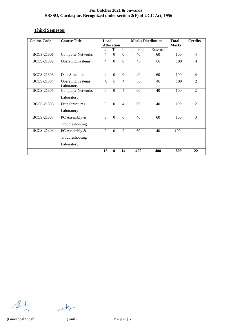# **Third Semester**

| <b>Course Code</b> | <b>Course Title</b>      | Load           |                        | <b>Marks Distribution</b> |          | <b>Total</b> | <b>Credits</b> |                |
|--------------------|--------------------------|----------------|------------------------|---------------------------|----------|--------------|----------------|----------------|
|                    |                          |                | <b>Allocation</b><br>T | $\mathbf{P}$              |          |              | <b>Marks</b>   |                |
|                    |                          | L              |                        |                           | Internal | External     |                |                |
| <b>BCCS-21301</b>  | <b>Computer Networks</b> | $\overline{4}$ | $\Omega$               | $\theta$                  | 40       | 60           | 100            | $\overline{4}$ |
| <b>BCCS-21302</b>  | <b>Operating Systems</b> | $\overline{4}$ | $\Omega$               | $\overline{0}$            | 40       | 60           | 100            | $\overline{4}$ |
|                    |                          |                |                        |                           |          |              |                |                |
| <b>BCCS-21303</b>  | Data Structures          | $\overline{4}$ | $\Omega$               | $\Omega$                  | 40       | 60           | 100            | $\overline{4}$ |
| <b>BCCS-21304</b>  | <b>Operating Systems</b> | $\Omega$       | $\Omega$               | $\overline{4}$            | 60       | 40           | 100            | 2              |
|                    | Laboratory               |                |                        |                           |          |              |                |                |
| <b>BCCS-21305</b>  | <b>Computer Networks</b> | $\Omega$       | $\Omega$               | $\overline{4}$            | 60       | 40           | 100            | 2              |
|                    | Laboratory               |                |                        |                           |          |              |                |                |
| <b>BCCS-21306</b>  | Data Structures          | $\Omega$       | $\Omega$               | $\overline{4}$            | 60       | 40           | 100            | $\overline{2}$ |
|                    | Laboratory               |                |                        |                           |          |              |                |                |
| <b>BCCS-21307</b>  | PC Assembly &            | 3              | $\Omega$               | $\Omega$                  | 40       | 60           | 100            | 3              |
|                    | Troubleshooting          |                |                        |                           |          |              |                |                |
| <b>BCCS-21308</b>  | PC Assembly &            | $\Omega$       | $\Omega$               | $\overline{2}$            | 60       | 40           | 100            |                |
|                    | Troubleshooting          |                |                        |                           |          |              |                |                |
|                    | Laboratory               |                |                        |                           |          |              |                |                |
|                    |                          | 15             | $\bf{0}$               | 14                        | 400      | 400          | 800            | 22             |

 $\mathcal{B}$ 

 $\frac{1}{2}$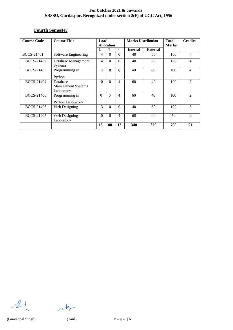# **Fourth Semester**

| <b>Course Code</b> | <b>Course Title</b>                                 | Load<br><b>Allocation</b> |          | <b>Marks Distribution</b> |          | <b>Total</b><br><b>Marks</b> | <b>Credits</b> |                        |
|--------------------|-----------------------------------------------------|---------------------------|----------|---------------------------|----------|------------------------------|----------------|------------------------|
|                    |                                                     | L                         | T        | P                         | Internal | External                     |                |                        |
| <b>BCCS-21401</b>  | Software Engineering                                | 4                         | $\theta$ | $\Omega$                  | 40       | 60                           | 100            | $\overline{4}$         |
| <b>BCCS-21402</b>  | Database Management<br><b>Systems</b>               | 4                         | $\Omega$ | $\Omega$                  | 40       | 60                           | 100            | 4                      |
| <b>BCCS-21403</b>  | Programming in<br>Python                            | 4                         | $\Omega$ | $\Omega$                  | 40       | 60                           | 100            | $\overline{4}$         |
| <b>BCCS-21404</b>  | Database<br><b>Management Systems</b><br>Laboratory | $\Omega$                  | $\Omega$ | $\overline{4}$            | 60       | 40                           | 100            | 2                      |
| <b>BCCS-21405</b>  | Programming in<br>Python Laboratory                 | $\Omega$                  | $\Omega$ | 4                         | 60       | 40                           | 100            | $\mathcal{D}_{\alpha}$ |
| BCCS-21406         | Web Designing                                       | 3                         | $\Omega$ | $\Omega$                  | 40       | 60                           | 100            | 3                      |
| <b>BCCS-21407</b>  | Web Designing<br>Laboratory                         | $\theta$                  | $\Omega$ | $\overline{4}$            | 60       | 40                           | 50             | $\mathfrak{D}$         |
|                    |                                                     | 15                        | 00       | 12                        | 340      | 360                          | 700            | 21                     |

 $\mathcal{B}$ 

 $\frac{1}{\sqrt{2}}$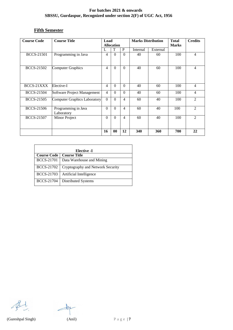# **Fifth Semester**

| <b>Course Code</b> | <b>Course Title</b>                 | Load<br><b>Allocation</b> |          | <b>Marks Distribution</b> |          | <b>Total</b><br><b>Marks</b> | <b>Credits</b> |                             |
|--------------------|-------------------------------------|---------------------------|----------|---------------------------|----------|------------------------------|----------------|-----------------------------|
|                    |                                     | L                         | T        | P                         | Internal | External                     |                |                             |
| <b>BCCS-21501</b>  | Programming in Java                 | 4                         | $\Omega$ | $\theta$                  | 40       | 60                           | 100            | 4                           |
| <b>BCCS-21502</b>  | <b>Computer Graphics</b>            | 4                         | $\Omega$ | $\theta$                  | 40       | 60                           | 100            | 4                           |
| BCCS-21XXX         | Elective-I                          | $\overline{4}$            | $\Omega$ | $\Omega$                  | 40       | 60                           | 100            | 4                           |
| <b>BCCS-21504</b>  | Software Project Management         | $\overline{4}$            | $\Omega$ | $\theta$                  | 40       | 60                           | 100            | 4                           |
| <b>BCCS-21505</b>  | <b>Computer Graphics Laboratory</b> | $\overline{0}$            | $\Omega$ | 4                         | 60       | 40                           | 100            | $\mathcal{D}_{\mathcal{L}}$ |
| <b>BCCS-21506</b>  | Programming in Java<br>Laboratory   | $\Omega$                  | $\Omega$ | 4                         | 60       | 40                           | 100            | $\mathfrak{D}$              |
| <b>BCCS-21507</b>  | Minor Project                       | $\theta$                  | $\Omega$ | 4                         | 60       | 40                           | 100            | $\mathfrak{D}$              |
|                    |                                     | 16                        | 00       | 12                        | 340      | 360                          | 700            | 22                          |

| <b>Elective -I</b> |                                   |  |  |  |  |
|--------------------|-----------------------------------|--|--|--|--|
| <b>Course Code</b> | <b>Course Title</b>               |  |  |  |  |
| <b>BCCS-21701</b>  | Data Warehouse and Mining         |  |  |  |  |
| <b>BCCS-21702</b>  | Cryptography and Network Security |  |  |  |  |
| <b>BCCS-21703</b>  | Artificial Intelligence           |  |  |  |  |
| <b>BCCS-21704</b>  | Distributed Systems               |  |  |  |  |

 $\mathcal{B}$ 

 $\frac{1}{\sqrt{2}}$ 

(Gureshpal Singh) (Anil) P a g e | **7**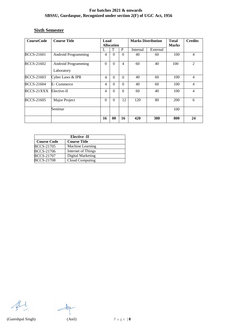# **Sixth Semester**

| <b>CourseCode</b> | <b>Course Title</b>                      | Load<br><b>Allocation</b> |          | <b>Marks Distribution</b> |          | <b>Total</b><br><b>Marks</b> | <b>Credits</b> |                |
|-------------------|------------------------------------------|---------------------------|----------|---------------------------|----------|------------------------------|----------------|----------------|
|                   |                                          | L                         | T        | P                         | Internal | External                     |                |                |
| BCCS-21601        | <b>Android Programming</b>               | 4                         | $\Omega$ | $\Omega$                  | 40       | 60                           | 100            | 4              |
| <b>BCCS-21602</b> | <b>Android Programming</b><br>Laboratory | $\theta$                  | $\Omega$ | 4                         | 60       | 40                           | 100            | $\mathcal{L}$  |
| <b>BCCS-21603</b> | Cyber Laws & IPR                         | 4                         | $\Omega$ | $\Omega$                  | 40       | 60                           | 100            | $\overline{4}$ |
| BCCS-21604        | E-Commerce                               | 4                         | $\Omega$ | $\Omega$                  | 40       | 60                           | 100            | $\overline{4}$ |
| BCCS-21XXX        | Elective-II                              | 4                         | $\Omega$ | $\Omega$                  | 60       | 40                           | 100            | $\overline{4}$ |
| <b>BCCS-21605</b> | Major Project                            | $\theta$                  | $\Omega$ | 12                        | 120      | 80                           | 200            | 6              |
|                   | Seminar                                  |                           |          |                           |          |                              | 100            |                |
|                   |                                          | 16                        | 00       | 16                        | 420      | 380                          | 800            | 24             |

| Elective -II       |                     |  |  |  |
|--------------------|---------------------|--|--|--|
| <b>Course Code</b> | <b>Course Title</b> |  |  |  |
| <b>BCCS-21705</b>  | Machine Learning    |  |  |  |
| <b>BCCS-21706</b>  | Internet of Things  |  |  |  |
| <b>BCCS-21707</b>  | Digital Marketing   |  |  |  |
| <b>BCCS-21708</b>  | Cloud Computing     |  |  |  |

 $\mathscr{B}$ 

 $\frac{1}{\sqrt{2}}$ 

(Gureshpal Singh) (Anil) P a g e | **8**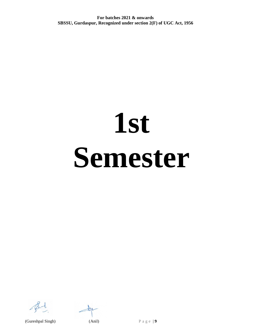# **1st Semester**

 $\pm 18$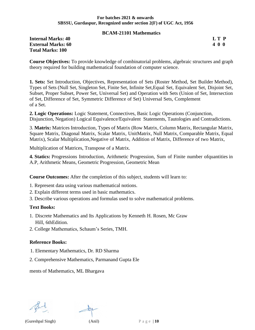#### **BCAM-21101 Mathematics**

# **Internal Marks: 40** L T **P External Marks: 60 4 0 0 Total Marks: 100**

**Course Objectives:** To provide knowledge of combinatorial problems, algebraic structures and graph theory required for building mathematical foundation of computer science.

**1. Sets:** Set Introduction, Objectives, Representation of Sets (Roster Method, Set Builder Method), Types of Sets (Null Set, Singleton Set, Finite Set, Infinite Set,Equal Set, Equivalent Set, Disjoint Set, Subset, Proper Subset, Power Set, Universal Set) and Operation with Sets (Union of Set, Intersection of Set, Difference of Set, Symmetric Difference of Set) Universal Sets, Complement of a Set.

**2. Logic Operations:** Logic Statement, Connectives, Basic Logic Operations (Conjunction, Disjunction, Negation) Logical Equivalence/Equivalent Statements, Tautologies and Contradictions.

3. **Matrix:** Matrices Introduction, Types of Matrix (Row Matrix, Column Matrix, Rectangular Matrix, Square Matrix, Diagonal Matrix, Scalar Matrix, UnitMatrix, Null Matrix, Comparable Matrix, Equal Matrix), Scalar Multiplication,Negative of Matrix, Addition of Matrix, Difference of two Matrix,

Multiplication of Matrices, Transpose of a Matrix.

**4. Statics:** Progressions Introduction, Arithmetic Progression, Sum of Finite number ofquantities in A.P, Arithmetic Means, Geometric Progression, Geometric Mean

**Course Outcomes:** After the completion of this subject, students will learn to:

- 1. Represent data using various mathematical notions.
- 2. Explain different terms used in basic mathematics.

3. Describe various operations and formulas used to solve mathematical problems.

#### **Text Books:**

- 1. Discrete Mathematics and Its Applications by Kenneth H. Rosen, Mc Graw Hill, 6thEdition.
- 2. College Mathematics, Schaum's Series, TMH.

# **Reference Books:**

- 1. Elementary Mathematics, Dr. RD Sharma
- 2. Comprehensive Mathematics, Parmanand Gupta Ele

ments of Mathematics, ML Bhargava

(Gureshpal Singh) (Anil) P a g e | **10**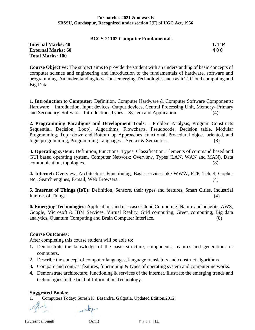#### **BCCS-21102 Computer Fundamentals**

**Internal Marks: 40 L T P External Marks: 60 4 0 0 Total Marks: 100**

**Course Objective:** The subject aims to provide the student with an understanding of basic concepts of computer science and engineering and introduction to the fundamentals of hardware, software and programming. An understanding to various emerging Technologies such as IoT, Cloud computing and Big Data.

**1. Introduction to Computer:** Definition, Computer Hardware & Computer Software Components: Hardware – Introduction, Input devices, Output devices, Central Processing Unit, Memory- Primary and Secondary. Software - Introduction, Types – System and Application. (4)

**2. Programming Paradigms and Development Tools**: – Problem Analysis, Program Constructs Sequential, Decision, Loop), Algorithms, Flowcharts, Pseudocode. Decision table, Modular Programming, Top– down and Bottom–up Approaches, functional, Procedural object–oriented, and logic programming, Programming Languages – Syntax & Semantics. (8)

**3. Operating system:** Definition, Functions, Types, Classification, Elements of command based and GUI based operating system. Computer Network: Overview, Types (LAN, WAN and MAN), Data communication, topologies. (8)

**4. Internet:** Overview, Architecture, Functioning, Basic services like WWW, FTP, Telnet, Gopher etc., Search engines, E-mail, Web Browsers. (4)

**5. Internet of Things (IoT):** Definition, Sensors, their types and features, Smart Cities, Industrial Internet of Things. (4)

**6. Emerging Technologies:** Applications and use cases Cloud Computing: Nature and benefits, AWS, Google, Microsoft & IBM Services, Virtual Reality, Grid computing, Green computing, Big data analytics, Quantum Computing and Brain Computer Interface. (8)

# **Course Outcomes:**

After completing this course student will be able to:

- **1.** Demonstrate the knowledge of the basic structure, components, features and generations of computers.
- **2.** Describe the concept of computer languages, language translators and construct algorithms
- **3.** Compare and contrast features, functioning & types of operating system and computer networks.
- **4.** Demonstrate architecture, functioning & services of the Internet. Illustrate the emerging trends and technologies in the field of Information Technology.

# **Suggested Books:**

1. Computers Today: Suresh K. Basandra, Galgotia, Updated Edition,2012.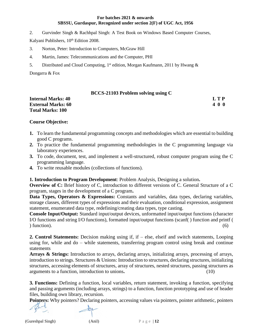2. Gurvinder Singh & Rachhpal Singh: A Test Book on Windows Based Computer Courses,

Kalyani Publishers, 10<sup>th</sup> Edition 2008.

- 3. Norton, Peter: Introduction to Computers, McGraw Hill
- 4. Martin, James: Telecommunications and the Computer, PHI
- 5. Distributed and Cloud Computing, 1<sup>st</sup> edition, Morgan Kaufmann, 2011 by Hwang &

Dongarra & Fox

#### **BCCS-21103 Problem solving using C**

| <b>Internal Marks: 40</b> | LTP |
|---------------------------|-----|
| <b>External Marks: 60</b> | 400 |
| <b>Total Marks: 100</b>   |     |

#### **Course Objective:**

- **1.** To learn the fundamental programming concepts and methodologies which are essential to building good C programs.
- **2.** To practice the fundamental programming methodologies in the C programming language via laboratory experiences.
- **3.** To code, document, test, and implement a well-structured, robust computer program using the C programming language.
- **4.** To write reusable modules (collections of functions).

#### **1. Introduction to Program Development**: Problem Analysis, Designing a solution**.**

**Overview of C:** Brief history of C, introduction to different versions of C. General Structure of a C program, stages in the development of a C program**.** 

Data Types, Operators & Expressions: Constants and variables, data types, declaring variables, storage classes, different types of expressions and their evaluation, conditional expression, assignment statement, enumerated data type, redefining/creating data types, type casting.

**Console Input/Output:** Standard input/output devices, unformatted input/output functions (character I/O functions and string I/O functions), formatted input/output functions (scanf( ) function and printf (  $\int$  function). (6)

**2. Control Statements:** Decision making using if, if – else, elseif and switch statements, Looping using for, while and do – while statements, transferring program control using break and continue statements

**Arrays & Strings:** Introduction to arrays, declaring arrays, initializing arrays, processing of arrays, introduction to strings. Structures & Unions: Introduction to structures, declaring structures, initializing structures, accessing elements of structures, array of structures, nested structures, passing structures as arguments to a function, introduction to unions**.** (10)

**3. Functions:** Defining a function, local variables, return statement, invoking a function, specifying and passing arguments (including arrays, strings) to a function, function prototyping and use of header files, building own library, recursion.

**Pointers:** Why pointers? Declaring pointers, accessing values via pointers, pointer arithmetic, pointers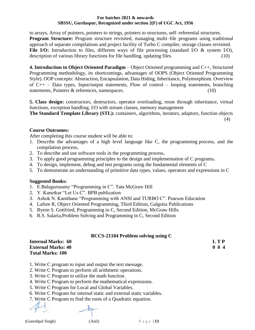to arrays, Array of pointers, pointers to strings, pointers to structures, self–referential structures. **Program Structure:** Program structure revisited, managing multi–file programs using traditional approach of separate compilations and project facility of Turbo C compiler, storage classes revisited. File I/O: Introduction to files, different ways of file processing (standard I/O & system I/O), description of various library functions for file handling, updating files. (10)

**4. Introduction to Object Oriented Paradigm** – Object Oriented programming and C++, Structured Programming methodology, its shortcomings, advantages of OOPS (Object Oriented Programming Style). OOP concepts: Abstraction, Encapsulation, Data Hiding, Inheritance, Polymorphism. Overview of  $C_{++}$  – Data types, Input/output statements, Flow of control – looping statements, branching statements, Pointers & references, namespaces. (10)

**5. Class design:** constructors, destructors, operator overloading, reuse through inheritance, virtual functions, exception handling. I/O with stream classes, memory management

**The Standard Template Library (STL):** containers, algorithms, iterators, adaptors, function objects

(4)

# **Course Outcomes:**

After completing this course student will be able to:

- 1. Describe the advantages of a high level language like C, the programming process, and the compilation process**.**
- 2. To describe and use software tools in the programming process**.**
- 3. To apply good programming principles to the design and implementation of C programs**.**
- 4. To design, implement, debug and test programs using the fundamental elements of C
- 5. To demonstrate an understanding of primitive data types, values, operators and expressions in C

# **Suggested Books:**

- 1. E.Balagurusamy "Programming in C". Tata McGraw Hill
- 2. Y. Kanetkar "Let Us C". BPB publication
- 3. Ashok N. Kamthane "Programming with ANSI and TURBO C". Pearson Education
- 4. Lafore R, Object Oriented Programming, Third Edition, Galgotia Publications
- 5. Byron S. Gottfried, Programming in C, Second Edition, McGraw Hills.
- 6. R.S. Salaria,Problem Solving and Programming in C, Second Edition

# **BCCS-21104 Problem solving using C**

| <b>Internal Marks: 60</b> | <b>LTP</b>  |
|---------------------------|-------------|
| <b>External Marks: 40</b> | $0 \t0 \t4$ |
| <b>Total Marks: 100</b>   |             |

1. Write C program to input and output the text message.

- 2. Write C Program to perform all arithmetic operations.
- 3. Write C Program to utilize the math function.
- 4. Write C Program to perform the mathematical expressions.
- 5. Write C Program for Local and Global Variables.
- 6. Write C Program for internal static and external static variables.
- 7. Write C Program to find the roots of a Quadratic equation.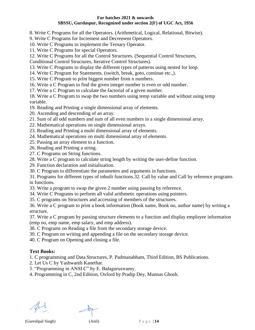8. Write C Programs for all the Operators. (Arithmetical, Logical, Relational, Bitwise).

9. Write C Programs for Increment and Decrement Operators.

10. Write C Programs to implement the Ternary Operator.

11. Write C Programs for special Operators.

12. Write C Programs for all the Control Structures. (Sequential Control Structures,

Conditional Control Structures, Iterative Control Structures).

13. Write C Programs to display the different types of patterns using nested for loop.

14. Write C Program for Statements. (switch, break, goto, continue etc.,).

15. Write C Program to print biggest number from n numbers.

16. Write a C Program to find the given integer number is even or odd number.

17. Write a C Program to calculate the factorial of a given number.

18. Write a C Program to swap the two numbers using temp variable and without using temp variable.

19. Reading and Printing a single dimensional array of elements.

20. Ascending and descending of an array.

21. Sum of all odd numbers and sum of all even numbers in a single dimensional array.

22. Mathematical operations on single dimensional arrays.

23. Reading and Printing a multi dimensional array of elements.

24. Mathematical operations on multi dimensional array of elements.

25. Passing an array element to a function.

26. Reading and Printing a string.

27. C Programs on String functions.

28. Write a C program to calculate string length by writing the user-define function.

29. Function declaration and initialization.

30. C Program to differentiate the parameters and arguments in functions.

31. Programs for different types of inbuilt functions.32. Call by value and Call by reference programs in functions.

33. Write a program to swap the given 2 number using passing by reference.

34. Write C Programs to perform all valid arithmetic operations using pointers.

35. C programs on Structures and accessing of members of the structures.

36. Write a C program to print a book information (Book name, Book no, author name) by writing a structure.

37. Write a C program by passing structure elements to a function and display employee information (emp no, emp name, emp salary, and emp address).

38. C Programs on Reading a file from the secondary storage device.

39. C Program on writing and appending a file on the secondary storage device.

40. C Program on Opening and closing a file.

# **Text Books:**

1. C programming and Data Structures, P. Padmanabham, Third Edition, BS Publications.

2. Let Us C by Yashwanth Kanethar.

3. "Programming in ANSI C" by E. Balaguruswamy.

4. Programming in C, 2nd Edition, Oxford by Pradip Dey, Mannas Ghosh.

(Gureshpal Singh) (Anil) P a g e | **14**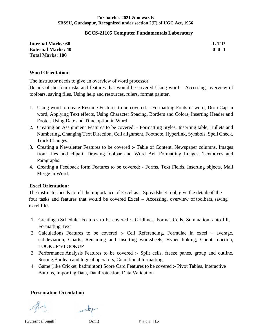#### **BCCS-21105 Computer Fundamentals Laboratory**

**Internal Marks: 60 L T P External Marks: 40 0 0 4 Total Marks: 100**

#### **Word Orientation:**

The instructor needs to give an overview of word processor.

Details of the four tasks and features that would be covered Using word – Accessing, overview of toolbars, saving files, Using help and resources, rulers, format painter.

- 1. Using word to create Resume Features to be covered: Formatting Fonts in word, Drop Cap in word, Applying Text effects, Using Character Spacing, Borders and Colors, Inserting Header and Footer, Using Date and Time option in Word.
- 2. Creating an Assignment Features to be covered: Formatting Styles, Inserting table, Bullets and Numbering, Changing Text Direction, Cell alignment, Footnote, Hyperlink, Symbols, Spell Check, Track Changes.
- 3. Creating a Newsletter Features to be covered :- Table of Content, Newspaper columns, Images from files and clipart, Drawing toolbar and Word Art, Formatting Images, Textboxes and Paragraphs
- 4. Creating a Feedback form Features to be covered: Forms, Text Fields, Inserting objects, Mail Merge in Word.

#### **Excel Orientation:**

The instructor needs to tell the importance of Excel as a Spreadsheet tool, give the detailsof the four tasks and features that would be covered Excel – Accessing, overview of toolbars, saving excel files

- 1. Creating a Scheduler Features to be covered :- Gridlines, Format Cells, Summation, auto fill, Formatting Text
- 2. Calculations Features to be covered :- Cell Referencing, Formulae in excel average, std.deviation, Charts, Renaming and Inserting worksheets, Hyper linking, Count function, LOOKUP/VLOOKUP
- 3. Performance Analysis Features to be covered :- Split cells, freeze panes, group and outline, Sorting,Boolean and logical operators, Conditional formatting
- 4. Game (like Cricket, badminton) Score Card Features to be covered :- Pivot Tables, Interactive Buttons, Importing Data, DataProtection, Data Validation

#### **Presentation Orientation**

(Gureshpal Singh) (Anil) P a g e | **15**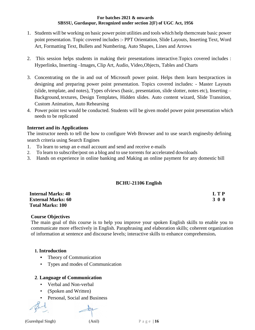- 1. Students will be working on basic power point utilities and tools which help themcreate basic power point presentation. Topic covered includes :- PPT Orientation, Slide Layouts, Inserting Text, Word Art, Formatting Text, Bullets and Numbering, Auto Shapes, Lines and Arrows
- 2. This session helps students in making their presentations interactive.Topics covered includes : Hyperlinks, Inserting –Images, Clip Art, Audio, Video,Objects, Tables and Charts
- 3. Concentrating on the in and out of Microsoft power point. Helps them learn bestpractices in designing and preparing power point presentation. Topics covered includes: - Master Layouts (slide, template, and notes), Types ofviews (basic, presentation, slide slotter, notes etc), Inserting – Background, textures, Design Templates, Hidden slides. Auto content wizard, Slide Transition, Custom Animation, Auto Rehearsing
- 4. Power point test would be conducted. Students will be given model power point presentation which needs to be replicated

# **Internet and its Applications**

The instructor needs to tell the how to configure Web Browser and to use search enginesby defining search criteria using Search Engines

- 1. To learn to setup an e-mail account and send and receive e-mails
- 2. To learn to subscribe/post on a blog and to use torrents for accelerated downloads
- 3. Hands on experience in online banking and Making an online payment for any domestic bill

# **BCHU-21106 English**

| <b>Internal Marks: 40</b> | L T P |
|---------------------------|-------|
| <b>External Marks: 60</b> | 3 0 0 |
| <b>Total Marks: 100</b>   |       |

# **Course Objectives**

The main goal of this course is to help you improve your spoken English skills to enable you to communicate more effectively in English. Paraphrasing and elaboration skills; coherent organization of information at sentence and discourse levels; interactive skills to enhance comprehension**.**

# **1. Introduction**

- **•** Theory of Communication
- Types and modes of Communication

# **2**. **Language of Communication**

- Verbal and Non-verbal
- (Spoken and Written)
- Personal, Social and Business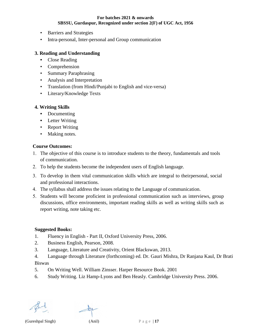- Barriers and Strategies
- Intra-personal, Inter-personal and Group communication

# **3. Reading and Understanding**

- **•** Close Reading
- Comprehension
- Summary Paraphrasing
- Analysis and Interpretation
- Translation (from Hindi/Punjabi to English and vice-versa)
- Literary/Knowledge Texts

#### **4. Writing Skills**

- **•** Documenting
- **•** Letter Writing
- Report Writing
- Making notes.

#### **Course Outcomes:**

- 1. The objective of this course is to introduce students to the theory, fundamentals and tools of communication.
- To help the students become the independent users of English language.
- To develop in them vital communication skills which are integral to theirpersonal, social and professional interactions.
- The syllabus shall address the issues relating to the Language of communication.
- Students will become proficient in professional communication such as interviews, group discussions, office environments, important reading skills as well as writing skills such as report writing, note taking etc.

#### **Suggested Books:**

- 1. Fluency in English Part II, Oxford University Press, 2006.
- 2. Business English, Pearson, 2008.
- 3. Language, Literature and Creativity, Orient Blackswan, 2013.
- 4. Language through Literature (forthcoming) ed. Dr. Gauri Mishra, Dr Ranjana Kaul, Dr Brati Biswas
- 5. On Writing Well. William Zinsser. Harper Resource Book. 2001
- 6. Study Writing. Liz Hamp-Lyons and Ben Heasly. Cambridge University Press. 2006.

(Gureshpal Singh) (Anil) P a g e | **17**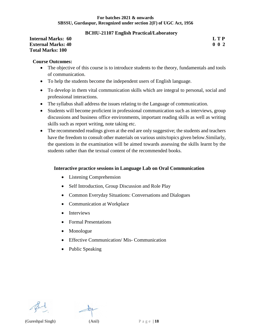# **BCHU-21107 English Practical/Laboratory**

#### **Internal Marks: 60 L T P External Marks: 40 0 0 2 Total Marks: 100**

#### **Course Outcomes:**

- The objective of this course is to introduce students to the theory, fundamentals and tools of communication.
- To help the students become the independent users of English language.
- To develop in them vital communication skills which are integral to personal, social and professional interactions.
- The syllabus shall address the issues relating to the Language of communication.
- Students will become proficient in professional communication such as interviews, group discussions and business office environments, important reading skills as well as writing skills such as report writing, note taking etc.
- The recommended readings given at the end are only suggestive; the students and teachers have the freedom to consult other materials on various units/topics given below.Similarly, the questions in the examination will be aimed towards assessing the skills learnt by the students rather than the textual content of the recommended books.

# **Interactive practice sessions in Language Lab on Oral Communication**

- Listening Comprehension
- Self Introduction, Group Discussion and Role Play
- Common Everyday Situations: Conversations and Dialogues
- Communication at Workplace
- Interviews
- Formal Presentations
- Monologue
- Effective Communication/Mis-Communication
- Public Speaking





(Gureshpal Singh) (Anil) P a g e | **18**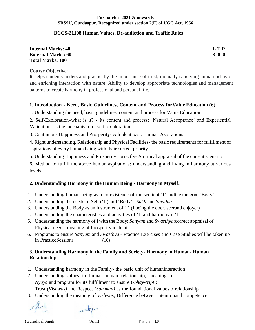# **BCCS-21108 Human Values, De-addiction and Traffic Rules**

| <b>Internal Marks: 40</b> | $\mathbf{L} \mathbf{TP}$ |
|---------------------------|--------------------------|
| <b>External Marks: 60</b> | 300                      |
| Total Marks: 100          |                          |

#### **Course Objective**:

It helps students understand practically the importance of trust, mutually satisfying human behavior and enriching interaction with nature. Ability to develop appropriate technologies and management patterns to create harmony in professional and personal life..

#### **1. Introduction - Need, Basic Guidelines, Content and Process forValue Education** (6)

1. Understanding the need, basic guidelines, content and process for Value Education

2. Self-Exploration–what is it? - Its content and process; 'Natural Acceptance' and Experiential Validation- as the mechanism for self- exploration

3. Continuous Happiness and Prosperity- A look at basic Human Aspirations

4. Right understanding, Relationship and Physical Facilities- the basic requirements for fulfillment of aspirations of every human being with their correct priority

5. Understanding Happiness and Prosperity correctly- A critical appraisal of the current scenario

6. Method to fulfill the above human aspirations: understanding and living in harmony at various levels

# **2. Understanding Harmony in the Human Being - Harmony in Myself!**

- 1. Understanding human being as a co-existence of the sentient 'I' andthe material 'Body'
- *2.* Understanding the needs of Self ('I') and 'Body' *Sukh* and *Suvidha*
- 3. Understanding the Body as an instrument of 'I' (I being the doer, seerand enjoyer)
- 4. Understanding the characteristics and activities of 'I' and harmony in'I'
- 5. Understanding the harmony of I with the Body: *Sanyam* and *Swasthya*;correct appraisal of Physical needs, meaning of Prosperity in detail
- 6. Programs to ensure *Sanyam* and *Swasthya*  Practice Exercises and Case Studies will be taken up in PracticeSessions (10)

# **3. Understanding Harmony in the Family and Society- Harmony in Human- Human Relationship**

- 1. Understanding harmony in the Family- the basic unit of humaninteraction
- *2.* Understanding values in human-human relationship; meaning of *Nyaya* and program for its fulfillment to ensure *Ubhay-tripti*; Trust (*Vishwas)* and Respect (*Samman)* as the foundational values ofrelationship
- 3. Understanding the meaning of *Vishwas*; Difference between intentionand competence

(Gureshpal Singh) (Anil) P a g e | **19**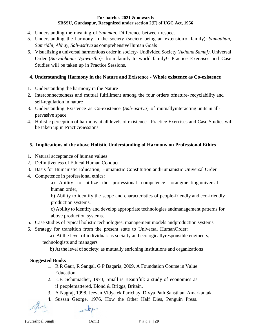- 4. Understanding the meaning of *Samman*, Difference between respect
- *5.* Understanding the harmony in the society (society being an extension of family): *Samadhan, Samridhi, Abhay, Sah-astitva* as comprehensiveHuman Goals
- 6. Visualizing a universal harmonious order in society- Undivided Society (*Akhand Samaj),* Universal Order (*Sarvabhaum Vyawastha)*- from family to world family!- Practice Exercises and Case Studies will be taken up in Practice Sessions.

# **4. Understanding Harmony in the Nature and Existence - Whole existence as Co-existence**

- 1. Understanding the harmony in the Nature
- 2. Interconnectedness and mutual fulfillment among the four orders ofnature- recyclability and self-regulation in nature
- 3. Understanding Existence as Co-existence (*Sah-astitva*) of mutuallyinteracting units in allpervasive space
- 4. Holistic perception of harmony at all levels of existence Practice Exercises and Case Studies will be taken up in PracticeSessions.

# **5. Implications of the above Holistic Understanding of Harmony on Professional Ethics**

- 1. Natural acceptance of human values
- 2. Definitiveness of Ethical Human Conduct
- 3. Basis for Humanistic Education, Humanistic Constitution andHumanistic Universal Order
- 4. Competence in professional ethics:

a) Ability to utilize the professional competence foraugmenting universal human order,

b) Ability to identify the scope and characteristics of people-friendly and eco-friendly production systems,

c) Ability to identify and develop appropriate technologies andmanagement patterns for above production systems.

- 5. Case studies of typical holistic technologies, management models andproduction systems
- 6. Strategy for transition from the present state to Universal HumanOrder:

a) At the level of individual: as socially and ecologicallyresponsible engineers, technologists and managers

b) At the level of society: as mutually enriching institutions and organizations

# **Suggested Books**

- 1. R R Gaur, R Sangal, G P Bagaria, 2009, A Foundation Course in Value Education
- 2. E.F. Schumacher, 1973, Small is Beautiful: a study of economics as if peoplemattered, Blond & Briggs, Britain.
- 3. A Nagraj, 1998, Jeevan Vidya ek Parichay, Divya Path Sansthan, Amarkantak.
- 4. Sussan George, 1976, How the Other Half Dies, Penguin Press.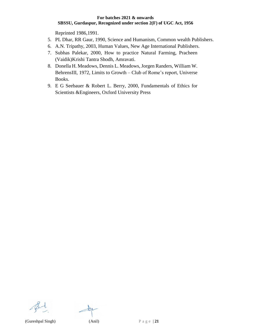Reprinted 1986,1991.

- 5. PL Dhar, RR Gaur, 1990, Science and Humanism, Common wealth Publishers.
- 6. A.N. Tripathy, 2003, Human Values, New Age International Publishers.
- 7. Subhas Palekar, 2000, How to practice Natural Farming, Pracheen (Vaidik)Krishi Tantra Shodh, Amravati.
- 8. Donella H. [Meadows,](http://en.wikipedia.org/wiki/Donella_Meadows) Dennis L. [Meadows,](http://en.wikipedia.org/wiki/Donella_Meadows)Jorgen [Randers,](http://en.wikipedia.org/wiki/J%C3%B8rgen_Randers) [William](http://en.wikipedia.org/wiki/J%C3%B8rgen_Randers) W. [BehrensIII,](http://en.wikipedia.org/w/index.php?title=William_W._Behrens_III&action=edit&redlink=1) 1972, Limits to Growth – Club of Rome's report, Universe Books.
- 9. E G Seebauer & Robert L. Berry, 2000, Fundamentals of Ethics for Scientists &Engineers, Oxford University Press

(Gureshpal Singh) (Anil) P a g e | **21**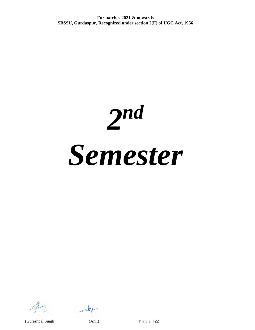*2 nd Semester*

 $\pm 18$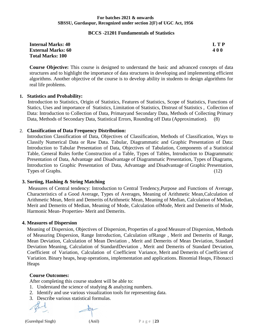#### **BCCS -21201 Fundamentals of Statistics**

| <b>Internal Marks: 40</b> | L T P      |
|---------------------------|------------|
| <b>External Marks: 60</b> | <b>400</b> |
| <b>Total Marks: 100</b>   |            |

**Course Objective:** This course is designed to understand the basic and advanced concepts of data structures and to highlight the importance of data structures in developing and implementing efficient algorithms. Another objective of the course is to develop ability in students to design algorithms for real life problems.

#### **1. Statistics and Probability:**

 Introduction to Statistics, Origin of Statistics, Features of Statistics, Scope of Statistics, Functions of Statics, Uses and importance of Statistics, Limitation of Statistics, Distrust of Statistics , Collection of Data: Introduction to Collection of Data, Primaryand Secondary Data, Methods of Collecting Primary Data, Methods of Secondary Data, Statistical Errors, Rounding off Data (Approximation). (8)

#### 2. **Classification of Data Frequency Distribution:**

Introduction Classification of Data, Objectives of Classification, Methods of Classification, Ways to Classify Numerical Data or Raw Data. Tabular, Diagrammatic and Graphic Presentation of Data: Introduction to Tabular Presentation of Data, Objectives of Tabulation, Components of a Statistical Table, General Rules forthe Construction of a Table, Types of Tables, Introduction to Diagrammatic Presentation of Data, Advantage and Disadvantage of Diagrammatic Presentation, Types of Diagrams, Introduction to Graphic Presentation of Data, Advantage and Disadvantage of Graphic Presentation, Types of Graphs. (12)

#### **3. Sorting, Hashing & String Matching**

Measures of Central tendency: Introduction to Central Tendency,Purpose and Functions of Average, Characteristics of a Good Average, Types of Averages, Meaning of Arithmetic Mean,Calculation of Arithmetic Mean, Merit and Demerits ofArithmetic Mean, Meaning of Median, Calculation of Median, Merit and Demerits of Median, Meaning of Mode, Calculation ofMode, Merit and Demerits of Mode, Harmonic Mean- Properties- Merit and Demerits.

#### **4. Measures of Dispersion**

Meaning of Dispersion, Objectives of Dispersion, Properties of a good Measure of Dispersion, Methods of Measuring Dispersion, Range Introduction, Calculation ofRange , Merit and Demerits of Range, Mean Deviation, Calculation of Mean Deviation , Merit and Demerits of Mean Deviation, Standard Deviation Meaning, Calculation of StandardDeviation , Merit and Demerits of Standard Deviation, Coefficient of Variation, Calculation of Coefficient Variance, Merit and Demerits of Coefficient of Variation. Binary heaps, heap operations, implementation and applications. Binomial Heaps, Fibonacci Heaps and the set of the set of the set of the set of the set of the set of the set of the set of the set of the set of the set of the set of the set of the set of the set of the set of the set of the set of the set of the

#### **Course Outcomes:**

After completing this course student will be able to:

- 1. Understand the science of studying  $&$  analyzing numbers.
- 2. Identify and use various visualization tools for representing data.
- 3. Describe various statistical formulas.

(Gureshpal Singh)  $(Anil)$   $P \circ g \circ |23$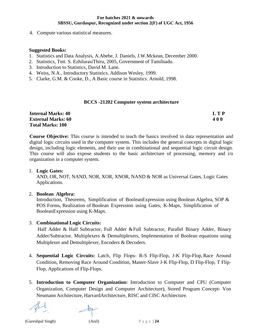4. Compute various statistical measures.

#### **Suggested Books:**

- 1. Statistics and Data Analysis, A.Abebe, J. Daniels, J.W.Mckean, December 2000.
- 2. Statistics, Tmt. S. EzhilarasiThiru, 2005, Government of Tamilnadu.
- 3. Introduction to Statistics, David M. Lane.
- 4. Weiss, N.A., Introductory Statistics. Addison Wesley, 1999.
- 5. Clarke, G.M. & Cooke, D., A Basic course in Statistics. Arnold, 1998.

# **BCCS -21202 Computer system architecture**

| <b>Internal Marks: 40</b> | L T P |
|---------------------------|-------|
| <b>External Marks: 60</b> | 400   |
| <b>Total Marks: 100</b>   |       |

**Course Objective:** This course is intended to teach the basics involved in data representation and digital logic circuits used in the computer system. This includes the general concepts in digital logic design, including logic elements, and their use in combinational and sequential logic circuit design. This course will also expose students to the basic architecture of processing, memory and i/o organization in a computer system.

# 1. **Logic Gates:**

AND, OR, NOT, NAND, NOR, XOR, XNOR, NAND & NOR as Universal Gates, Logic Gates Applications.

# 2. **Boolean Algebra:**

Introduction, Theorems, Simplification of BooleanExpression using Boolean Algebra, SOP & POS Forms, Realization of Boolean Expression using Gates, K-Maps, Simplification of BooleanExpression using K-Maps.

# 3. **Combinational Logic Circuits:**

Half Adder & Half Subtractor, Full Adder &Full Subtractor, Parallel Binary Adder, Binary Adder/Subtractor. Multiplexers & Demultiplexers, Implementation of Boolean equations using Multiplexer and Demultiplexer, Encoders & Decoders.

- 4. **Sequential Logic Circuits:** Latch, Flip Flops- R-S Flip-Flop, J-K Flip-Flop, Race Around Condition, Removing Race Around Condition, Master-Slave J-K Flip-Flop, D Flip-Flop, T Flip-Flop, Applications of Flip-Flops.
- 5. **Introduction to Computer Organization:** Introduction to Computer and CPU (Computer Organization, Computer Design and Computer Architecture), Stored Program Concept- Von Neumann Architecture, HarvardArchitecture, RISC and CISC Architecture.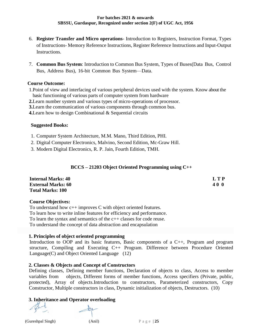- 6. **Register Transfer and Micro operations** Introduction to Registers, Instruction Format, Types of Instructions- Memory Reference Instructions, Register Reference Instructions and Input-Output Instructions.
- 7. **Common Bus System**: Introduction to Common Bus System, Types of Buses(Data Bus, Control Bus, Address Bus), 16-bit Common Bus System—Data.

#### **Course Outcome:**

1.Point of view and interfacing of various peripheral devices used with the system. Know about the basic functioning of various parts of computer system from hardware

**2.**Learn number system and various types of micro-operations of processor.

**3.**Learn the communication of various components through common bus.

**4.**Learn how to design Combinational & Sequential circuits

#### **Suggested Books:**

- 1. Computer System Architecture, M.M. Mano, Third Edition, PHI.
- 2. Digital Computer Electronics, Malvino, Second Edition, Mc-Graw Hill.
- 3. Modern Digital Electronics, R. P. Jain, Fourth Edition, TMH.

# **BCCS – 21203 Object Oriented Programming using C++**

| <b>Internal Marks: 40</b> | <b>LTP</b> |
|---------------------------|------------|
| <b>External Marks: 60</b> | 40 O       |
| <b>Total Marks: 100</b>   |            |

#### **Course Objectives:**

To understand how c++ improves C with object oriented features. To learn how to write inline features for efficiency and performance. To learn the syntax and semantics of the c++ classes for code reuse. To understand the concept of data abstraction and encapsulation

# **1. Principles of object oriented programming**

Introduction to OOP and its basic features, Basic components of a C++, Program and program structure, Compiling and Executing C++ Program. Difference between Procedure Oriented Language(C) and Object Oriented Language (12)

# **2. Classes & Objects and Concept of Constructors**

Defining classes, Defining member functions, Declaration of objects to class, Access to member variables from objects, Different forms of member functions, Access specifiers (Private, public, protected), Array of objects.Introduction to constructors, Parameterized constructors, Copy Constructor, Multiple constructors in class, Dynamic initialization of objects, Destructors. (10)

# **3. Inheritance and Operator overloading**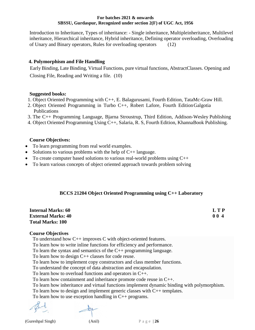Introduction to Inheritance, Types of inheritance: - Single inheritance, Multipleinheritance, Multilevel inheritance, Hierarchical inheritance, Hybrid inheritance, Defining operator overloading, Overloading of Unary and Binary operators, Rules for overloading operators (12)

# **4. Polymorphism and File Handling**

 Early Binding, Late Binding, Virtual Functions, pure virtual functions, AbstractClasses. Opening and Closing File, Reading and Writing a file. (10)

# **Suggested books:**

- 1. Object Oriented Programming with C++, E. Balagurusami, Fourth Edition, TataMc-Graw Hill.
- 2. Object Oriented Programming in Turbo C++, Robert Lafore, Fourth Edition Galgotia Publications
- 3. The C++ Programming Language, Bjarna Stroustrup, Third Edition, Addison-Wesley Publishing
- 4. Object Oriented Programming Using C++, Salaria, R. S, Fourth Edition, KhannaBook Publishing.

# **Course Objectives:**

- To learn programming from real world examples.
- Solutions to various problems with the help of  $C_{++}$  language.
- To create computer based solutions to various real-world problems using  $C++$
- To learn various concepts of object oriented approach towards problem solving

# **BCCS 21204 Object Oriented Programming using C++ Laboratory**

| <b>Internal Marks: 60</b> | L T P |
|---------------------------|-------|
| <b>External Marks: 40</b> | 004   |
| <b>Total Marks: 100</b>   |       |

# **Course Objectives**

To understand how C++ improves C with object-oriented features.

To learn how to write inline functions for efficiency and performance.

To learn the syntax and semantics of the C++ programming language.

To learn how to design C++ classes for code reuse.

To learn how to implement copy constructors and class member functions.

To understand the concept of data abstraction and encapsulation.

To learn how to overload functions and operators in C++.

To learn how containment and inheritance promote code reuse in C++.

To learn how inheritance and virtual functions implement dynamic binding with polymorphism.

To learn how to design and implement generic classes with C++ templates.

To learn how to use exception handling in C++ programs.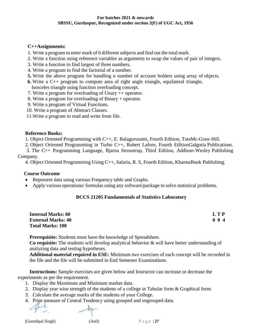# **C++Assignments:**

- 1. Write a program to enter mark of 6 different subjects and find out the total mark.
- 2. Write a function using reference variables as arguments to swap the values of pair of integers.
- 3. Write a function to find largest of three numbers.
- 4. Write a program to find the factorial of a number.
- **5.** Write the above program for handling n number of account holders using array of objects.
- **6.** Write a C++ program to compute area of right angle triangle, equilateral triangle,

Isosceles triangle using function overloading concept.

- 7. Write a program for overloading of Unary ++ operator.
- 8. Write a program for overloading of Binary + operator.
- 9. Write a program of Virtual Functions.
- 10. Write a program of Abstract Classes.
- 11.Write a program to read and write from file.

#### **Reference Books:**

1. Object Oriented Programming with C++, E. Balagurusami, Fourth Edition, TataMc-Graw Hill.

2. Object Oriented Programming in Turbo C++, Robert Lafore, Fourth EditionGalgotia Publications.

 3. The C++ Programming Language, Bjarna Stroustrup, Third Edition, Addison-Wesley Publishing Company.

4. Object Oriented Programming Using C++, Salaria, R. S, Fourth Edition, KhannaBook Publishing.

# **Course Outcome**

- Represent data using various Frequency table and Graphs.
- Apply various operations/ formulas using any software/package to solve statistical problems.

# **BCCS 21205 Fundamentals of Statistics Laboratory**

| <b>Internal Marks: 60</b> | L T P       |
|---------------------------|-------------|
| <b>External Marks: 40</b> | $0 \t0 \t4$ |
| <b>Total Marks: 100</b>   |             |

**Prerequisite:** Students must have the knowledge of Spreadsheet.

**Co requisite:** The students will develop analytical behavior & will have better understanding of analyzing data and testing hypotheses.

**Additional material required in ESE:** Minimum two exercises of each concept will be recorded in the file and the file will be submitted in End Semester Examinations.

**Instructions:** Sample exercises are given below and Instructor can increase or decrease the experiments as per the requirement.

- 1. Display the Maximum and Minimum market data.
- 2. Display year wise strength of the students of a college in Tabular form & Graphical form.
- 3. Calculate the average marks of the students of your College.
- 4. Print measure of Central Tendency using grouped and ungrouped data.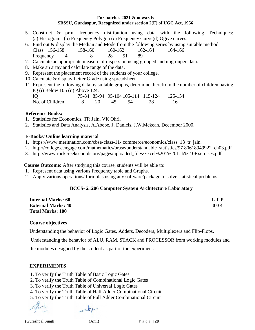- 5. Construct & print frequency distribution using data with the following Techniques: (a) Histogram (b) Frequency Polygon (c) Frequency Curve(d) Ogive curves.
- 6. Find out & display the Median and Mode from the following series by using suitable method: Class 156-158 158-160 160-162 162-164 164-166 Frequency 4 8 28 51 89
- 7. Calculate an appropriate measure of dispersion using grouped and ungrouped data.
- 8. Make an array and calculate range of the data.
- 9. Represent the placement record of the students of your college.
- 10. Calculate & display Letter Grade using spreadsheet.
- 11. Represent the following data by suitable graphs, determine therefrom the number of children having IQ (i) Below 105 (ii) Above 124.

IQ 75-84 85-94 95-104 105-114 115-124 125-134 No. of Children 8 20 45 54 28 16

#### **Reference Books:**

- 1. Statistics for Economics, TR Jain, VK Ohri.
- 2. Statistics and Data Analysis, A.Abebe, J. Daniels, J.W.Mckean, December 2000.

#### **E-Books/ Online learning material**

- 1. https://www.meritnation.com/cbse-class-11- commerce/economics/class\_13\_tr\_jain.
- 2. http://college.cengage.com/mathematics/brase/understandable\_statistics/97 80618949922\_ch03.pdf
- 3. http://www.rockcreekschools.org/pages/uploaded\_files/Excel%201%20Lab%2 0Exercises.pdf

 **Course Outcome:** After studying this course, students will be able to:

- 1. Represent data using various Frequency table and Graphs.
- 2. Apply various operations/ formulas using any software/package to solve statistical problems.

# **BCCS- 21206 Computer System Architecture Laboratory**

| <b>Internal Marks: 60</b> | <b>LTP</b> |
|---------------------------|------------|
| <b>External Marks: 40</b> | 004        |
| <b>Total Marks: 100</b>   |            |

#### **Course objectives**

Understanding the behavior of Logic Gates, Adders, Decoders, Multiplexers and Flip-Flops.

Understanding the behavior of ALU, RAM, STACK and PROCESSOR from working modules and

the modules designed by the student as part of the experiment.

# **EXPERIMENTS**

- 1. To verify the Truth Table of Basic Logic Gates
- 2. To verify the Truth Table of Combinational Logic Gates
- 3. To verify the Truth Table of Universal Logic Gates
- 4. To verify the Truth Table of Half Adder Combinational Circuit
- 5. To verify the Truth Table of Full Adder Combinational Circuit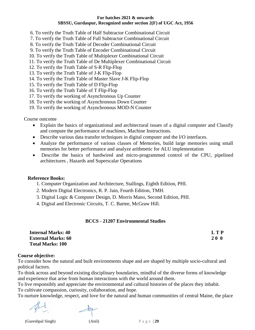6. To verify the Truth Table of Half Subtractor Combinational Circuit

7. To verify the Truth Table of Full Subtractor Combinational Circuit

8. To verify the Truth Table of Decoder Combinational Circuit

- 9. To verify the Truth Table of Encoder Combinational Circuit
- 10. To verify the Truth Table of Multiplexer Combinational Circuit
- 11. To verify the Truth Table of De Multiplexer Combinational Circuit
- 12. To verify the Truth Table of S-R Flip-Flop
- 13. To verify the Truth Table of J-K Flip-Flop
- 14. To verify the Truth Table of Master Slave J-K Flip-Flop
- 15. To verify the Truth Table of D Flip-Flop
- 16. To verify the Truth Table of T Flip-Flop
- 17. To verify the working of Asynchronous Up Counter
- 18. To verify the working of Asynchronous Down Counter
- 19. To verify the working of Asynchronous MOD-N Counter

Course outcome

- Explain the basics of organizational and architectural issues of a digital computer and Classify and compute the performance of machines, Machine Instructions.
- Describe various data transfer techniques in digital computer and the I/O interfaces.
- Analyze the performance of various classes of Memories, build large memories using small memories for better performance and analyze arithmetic for ALU implementation
- Describe the basics of hardwired and micro-programmed control of the CPU, pipelined architectures , Hazards and Superscalar Operations

#### **Reference Books:**

- 1. Computer Organization and Architecture, Stallings, Eighth Edition, PHI.
- 2. Modern Digital Electronics, R. P. Jain, Fourth Edition, TMH.
- 3. Digital Logic & Computer Design, D. Morris Mano, Second Edition, PHI.
- 4. Digital and Electronic Circuits, T. C. Bartee, McGraw Hill.

# **BCCS - 21207 Environmental Studies**

| <b>Internal Marks: 40</b> | <b>LTP</b> |
|---------------------------|------------|
| <b>External Marks: 60</b> | <b>200</b> |
| <b>Total Marks: 100</b>   |            |

#### **Course objective:**

To consider how the natural and built environments shape and are shaped by multiple socio-cultural and political factors.

To think across and beyond existing disciplinary boundaries, mindful of the diverse forms of knowledge and experience that arise from human interactions with the world around them.

To live responsibly and appreciate the environmental and cultural histories of the places they inhabit. To cultivate compassion, curiosity, collaboration, and hope.

To nurture knowledge, respect, and love for the natural and human communities of central Maine, the place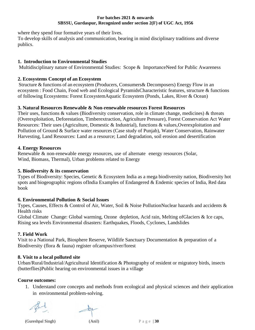where they spend four formative years of their lives.

To develop skills of analysis and communication, bearing in mind disciplinary traditions and diverse publics.

# **1. Introduction to Environmental Studies**

Multidisciplinary nature of Environmental Studies: Scope & ImportanceNeed for Public Awareness

# **2. Ecosystems Concept of an Ecosystem**

Structure & functions of an ecosystem (Producers, Consumers& Decomposers) Energy Flow in an ecosystem : Food Chain, Food web and Ecological PyramidsCharacteristic features, structure & functions of following Ecosystems: Forest EcosystemAquatic Ecosystem (Ponds, Lakes, River & Ocean)

# **3. Natural Resources Renewable & Non-renewable resources Forest Resources**

Their uses, functions & values (Biodiversity conservation, role in climate change, medicines) & threats (Overexploitation, Deforestation, Timberextraction, Agriculture Pressure), Forest Conservation Act Water Resources: Their uses (Agriculture, Domestic & Industrial), functions & values,Overexploitation and Pollution of Ground & Surface water resources (Case study of Punjab), Water Conservation, Rainwater Harvesting, Land Resources: Land as a resource; Land degradation, soil erosion and desertification

# **4. Energy Resources**

Renewable & non-renewable energy resources, use of alternate energy resources (Solar, Wind, Biomass, Thermal), Urban problems related to Energy

# **5. Biodiversity & its conservation**

Types of Biodiversity: Species, Genetic & Ecosystem India as a mega biodiversity nation, Biodiversity hot spots and biogeographic regions ofIndia Examples of Endangered & Endemic species of India, Red data book

# **6. Environmental Pollution & Social Issues**

Types, Causes, Effects & Control of Air, Water, Soil & Noise PollutionNuclear hazards and accidents & Health risks

Global Climate Change: Global warming, Ozone depletion, Acid rain, Melting ofGlaciers & Ice caps, Rising sea levels Environmental disasters: Earthquakes, Floods, Cyclones, Landslides

# **7. Field Work**

Visit to a National Park, Biosphere Reserve, Wildlife Sanctuary Documentation & preparation of a Biodiversity (flora & fauna) register ofcampus/river/forest

# **8. Visit to a local polluted site**

Urban/Rural/Industrial/Agricultural Identification & Photography of resident or migratory birds, insects (butterflies)Public hearing on environmental issues in a village

# **Course outcomes:**

1. Understand core concepts and methods from ecological and physical sciences and their application in environmental problem-solving.

(Gureshpal Singh) (Anil) P a g e | **30**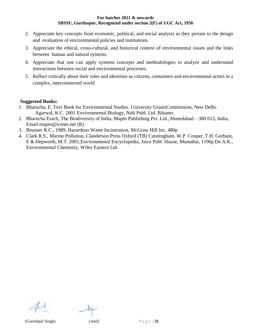- 2. Appreciate key concepts from economic, political, and social analysis as they pertain to the design and evaluation of environmental policies and institutions.
- 3. Appreciate the ethical, cross-cultural, and historical context of environmental issues and the links between human and natural systems.
- 4. Appreciate that one can apply systems concepts and methodologies to analyze and understand interactions between social and environmental processes.
- 5. Reflect critically about their roles and identities as citizens, consumers and environmental actors in a complex, interconnected world

#### **Suggested Books:**

- 1. Bharucha, E. Text Book for Environmental Studies. University GrantsCommission, New Delhi. Agarwal, K.C. 2001 Environmental Biology, Nidi Publ. Ltd. Bikaner.
- 2. Bharucha Erach, The Biodiversity of India, Mapin Publishing Pvt. Ltd.,Ahmedabad 380 013, India, [Email:mapin@icenet.net \(](mailto:mapin@icenet.net)R)
- 3. Brunner R.C., 1989, Hazardous Waste Incineration, McGraw Hill Inc. 480p
- 4. Clark R.S., Marine Pollution, Clanderson Press Oxford (TB) Cunningham, W.P. Cooper, T.H. Gorhani, E & Hepworth, M.T. 2001,Environmental Encyclopedia, Jaico Publ. House, Mumabai, 1196p De A.K., Environmental Chemistry, Wiley Eastern Ltd.

(Gureshpal Singh) (Anil) P a g e | **31**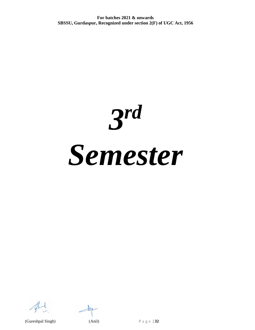*3 rd Semester*

 $\pm 18$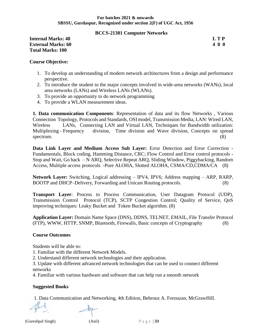#### **BCCS-21301 Computer Networks**

**Internal Marks: 40 L T P L T P External Marks: 60 4 0 0 Total Marks: 100**

#### **Course Objective:**

- 1. To develop an understanding of modern network architectures from a design and performance perspective.
- 2. To introduce the student to the major concepts involved in wide-area networks (WANs), local area networks (LANs) and Wireless LANs (WLANs).
- 3. To provide an opportunity to do network programming
- 4. To provide a WLAN measurement ideas.

**1. Data communication Components**: Representation of data and its flow Networks , Various Connection Topology, Protocols and Standards, OSI model, Transmission Media, LAN: Wired LAN, Wireless LANs, Connecting LAN and Virtual LAN, Techniques for Bandwidth utilization: Multiplexing - Frequency division, Time division and Wave division, Concepts on spread spectrum. (8)

**Data Link Layer and Medium Access Sub Layer:** Error Detection and Error Correction - Fundamentals, Block coding, Hamming Distance, CRC; Flow Control and Error control protocols - Stop and Wait, Go back – N ARQ, Selective Repeat ARQ, Sliding Window, Piggybacking, Random Access, Multiple access protocols -Pure ALOHA, Slotted ALOHA, CSMA/CD,CDMA/CA (8)

**Network Layer:** Switching, Logical addressing – IPV4, IPV6; Address mapping – ARP, RARP, BOOTP and DHCP–Delivery, Forwarding and Unicast Routing protocols. (8)

**Transport Layer**: Process to Process Communication, User Datagram Protocol (UDP), Transmission Control Protocol (TCP), SCTP Congestion Control; Quality of Service, QoS improving techniques: Leaky Bucket and Token Bucket algorithm. (8)

**Application Layer:** Domain Name Space (DNS), DDNS, TELNET, EMAIL, File Transfer Protocol (FTP), WWW, HTTP, SNMP, Bluetooth, Firewalls, Basic concepts of Cryptography (8)

#### **Course Outcomes**

Students will be able to:

1. Familiar with the different Network Models.

2. Understand different network technologies and their application.

3. Update with different advanced network technologies that can be used to connect different networks

4. Familiar with various hardware and software that can help run a smooth network

# **Suggested Books**

1. Data Communication and Networking, 4th Edition, Behrouz A. Forouzan, McGrawHill.

(Gureshpal Singh) (Anil) P a g e | **33**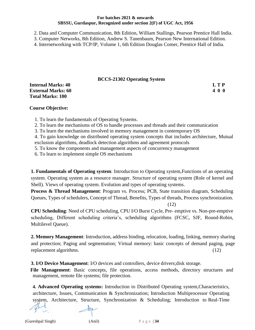2. Data and Computer Communication, 8th Edition, William Stallings, Pearson Prentice Hall India.

3. Computer Networks, 8th Edition, Andrew S. Tanenbaum, Pearson New International Edition.

4. Internetworking with TCP/IP, Volume 1, 6th Edition Douglas Comer, Prentice Hall of India.

#### **BCCS-21302 Operating System**

| $D\cup\cup D$ alove $D\cup\{\text{atm}\}\cup\{\text{stm}\}$ |       |
|-------------------------------------------------------------|-------|
| <b>Internal Marks: 40</b>                                   | L T P |
| <b>External Marks: 60</b>                                   | 400   |
| <b>Total Marks: 100</b>                                     |       |

#### **Course Objective:**

1. To learn the fundamentals of Operating Systems.

2. To learn the mechanisms of OS to handle processes and threads and their communication

3. To learn the mechanisms involved in memory management in contemporary OS

4. To gain knowledge on distributed operating system concepts that includes architecture, Mutual exclusion algorithms, deadlock detection algorithms and agreement protocols

5. To know the components and management aspects of concurrency management

6. To learn to implement simple OS mechanisms

**1. Fundamentals of Operating system**: Introduction to Operating system,Functions of an operating system. Operating system as a resource manager. Structure of operating system (Role of kernel and Shell). Views of operating system. Evolution and types of operating systems.

**Process & Thread Management**: Program vs. Process; PCB, State transition diagram, Scheduling Queues, Types of schedulers, Concept of Thread, Benefits, Types of threads, Process synchronization. (12)

**CPU Scheduling**: Need of CPU scheduling, CPU I/O Burst Cycle, Pre- emptive vs. Non-pre-emptive scheduling, Different scheduling criteria's, scheduling algorithms (FCSC, SJF, Round-Robin,

Multilevel Queue).

**2. Memory Management**: Introduction, address binding, relocation, loading, linking, memory sharing and protection; Paging and segmentation; Virtual memory: basic concepts of demand paging, page replacement algorithms. (12)

**3. I/O Device Management**: I/O devices and controllers, device drivers;disk storage.

 **File Management**: Basic concepts, file operations, access methods, directory structures and management, remote file systems; file protection.

**4. Advanced Operating systems:** Introduction to Distributed Operating system,Characteristics, architecture, Issues, Communication & Synchronization; Introduction Multiprocessor Operating system, Architecture, Structure, Synchronization & Scheduling; Introduction to Real-Time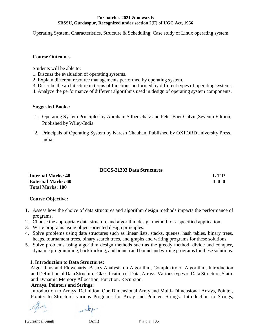Operating System, Characteristics, Structure & Scheduling. Case study of Linux operating system

#### **Course Outcomes**

Students will be able to:

- 1. Discuss the evaluation of operating systems.
- 2. Explain different resource managements performed by operating system.
- 3. Describe the architecture in terms of functions performed by different types of operating systems.
- 4. Analyze the performance of different algorithms used in design of operating system components.

#### **Suggested Books:**

- 1. Operating System Principles by Abraham Silberschatz and Peter Baer Galvin,Seventh Edition, Published by Wiley-India.
- 2. Principals of Operating System by Naresh Chauhan, Published by OXFORDUniversity Press, India.

#### **BCCS-21303 Data Structures**

| <b>Internal Marks: 40</b> | L T P |
|---------------------------|-------|
| <b>External Marks: 60</b> | 400   |
| <b>Total Marks: 100</b>   |       |

# **Course Objective:**

- 1. Assess how the choice of data structures and algorithm design methods impacts the performance of programs.
- 2. Choose the appropriate data structure and algorithm design method for a specified application.
- 3. Write programs using object-oriented design principles.
- 4. Solve problems using data structures such as linear lists, stacks, queues, hash tables, binary trees, heaps, tournament trees, binary search trees, and graphs and writing programs for these solutions.
- 5. Solve problems using algorithm design methods such as the greedy method, divide and conquer, dynamic programming, backtracking, and branch and bound and writing programs for these solutions.

# **1. Introduction to Data Structures:**

Algorithms and Flowcharts, Basics Analysis on Algorithm, Complexity of Algorithm, Introduction and Definition of Data Structure, Classification of Data, Arrays, Various types of Data Structure, Static and Dynamic Memory Allocation, Function, Recursion.

# **Arrays, Pointers and Strings:**

Introduction to Arrays, Definition, One Dimensional Array and Multi- Dimensional Arrays, Pointer, Pointer to Structure, various Programs for Array and Pointer. Strings. Introduction to Strings,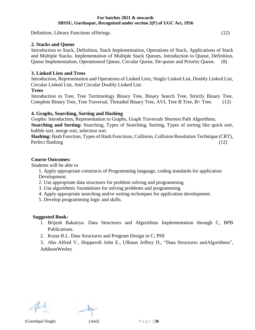Definition, Library Functions ofStrings. (12)

#### **2. Stacks and Queue**

Introduction to Stack, Definition, Stack Implementation, Operations of Stack, Applications of Stack and Multiple Stacks. Implementation of Multiple Stack Queues, Introduction to Queue, Definition, Queue Implementation, Operationsof Queue, Circular Queue, De-queue and Priority Queue. (8)

#### **3. Linked Lists and Trees**

Introduction, Representation and Operations of Linked Lists, Singly Linked List, Doubly Linked List, Circular Linked List, And Circular Doubly Linked List.

#### **Trees**

Introduction to Tree, Tree Terminology Binary Tree, Binary Search Tree, Strictly Binary Tree, Complete Binary Tree, Tree Traversal, Threaded Binary Tree, AVL Tree B Tree, B+ Tree. (12)

#### **4. Graphs, Searching, Sorting and Hashing**

Graphs: Introduction, Representation to Graphs, Graph Traversals Shortest Path Algorithms. **Searching and Sorting:** Searching, Types of Searching, Sorting, Types of sorting like quick sort, bubble sort, merge sort, selection sort.

**Hashing:** Hash Function, Types of Hash Functions, Collision, Collision Resolution Technique (CRT), Perfect Hashing (12)

#### **Course Outcomes:**

Students will be able to

- 1. Apply appropriate constructs of Programming language, coding standards for application Development.
- 2. Use appropriate data structures for problem solving and programming.
- 3. Use algorithmic foundations for solving problems and programming.
- 4. Apply appropriate searching and/or sorting techniques for application development.
- 5. Develop programming logic and skills.

#### **Suggested Book:**

- 1. Brijesh Bakariya. Data Structures and Algorithms Implementation through C, BPB Publications.
- 2. Kruse R.L. Data Structures and Program Design in C; PHI
- 3. Aho Alfred V., Hopperoft John E., UIlman Jeffrey D., "Data Structures andAlgorithms", AddisonWesley

(Gureshpal Singh) (Anil) P a g e | **36**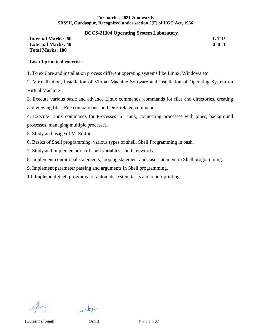#### **BCCS-21304 Operating System Laboratory**

#### **Internal Marks: 60 L T P External Marks: 40 0 0 4 Total Marks: 100**

#### **List of practical exercises**

1. To explore and installation process different operating systems like Linux, Windows etc.

2. Virtualization, Installation of Virtual Machine Software and installation of Operating System on Virtual Machine

3. Execute various basic and advance Linux commands, commands for files and directories, creating and viewing files, File comparisons, and Disk related commands.

4. Execute Linux commands for Processes in Linux, connecting processes with pipes, background processes, managing multiple processes.

- 5. Study and usage of VI Editor.
- 6. Basics of Shell programming, various types of shell, Shell Programming in bash.
- 7. Study and implementation of shell variables, shell keywords.
- 8. Implement conditional statements, looping statement and case statement in Shell programming.
- 9. Implement parameter passing and arguments in Shell programming.
- 10. Implement Shell programs for automate system tasks and report printing.

(Gureshpal Singh) (Anil) P a g e | **37**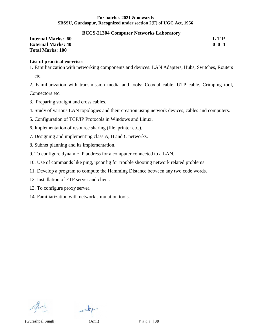#### **BCCS-21304 Computer Networks Laboratory**

#### **Internal Marks: 60 L T P External Marks: 40 0 0 4 Total Marks: 100**

#### **List of practical exercises**

- 1. Familiarization with networking components and devices: LAN Adapters, Hubs, Switches, Routers etc.
- 2. Familiarization with transmission media and tools: Coaxial cable, UTP cable, Crimping tool,

Connectors etc.

- 3. Preparing straight and cross cables.
- 4. Study of various LAN topologies and their creation using network devices, cables and computers.
- 5. Configuration of TCP/IP Protocols in Windows and Linux.
- 6. Implementation of resource sharing (file, printer etc.).
- 7. Designing and implementing class A, B and C networks.
- 8. Subnet planning and its implementation.
- 9. To configure dynamic IP address for a computer connected to a LAN.
- 10. Use of commands like ping, ipconfig for trouble shooting network related problems.
- 11. Develop a program to compute the Hamming Distance between any two code words.
- 12. Installation of FTP server and client.
- 13. To configure proxy server.
- 14. Familiarization with network simulation tools.



(Gureshpal Singh) (Anil) P a g e | **38**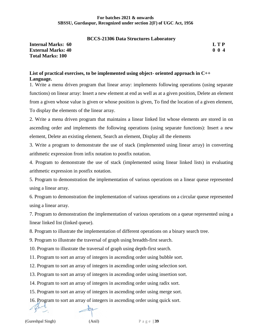#### **BCCS-21306 Data Structures Laboratory**

**Internal Marks: 60 L T P External Marks: 40 0 0 4 Total Marks: 100**

#### **List of practical exercises, to be implemented using object- oriented approach in C++ Language.**

1. Write a menu driven program that linear array: implements following operations (using separate functions) on linear array: Insert a new element at end as well as at a given position, Delete an element from a given whose value is given or whose position is given, To find the location of a given element, To display the elements of the linear array.

2. Write a menu driven program that maintains a linear linked list whose elements are stored in on ascending order and implements the following operations (using separate functions): Insert a new element, Delete an existing element, Search an element, Display all the elements

3. Write a program to demonstrate the use of stack (implemented using linear array) in converting arithmetic expression from infix notation to postfix notation.

4. Program to demonstrate the use of stack (implemented using linear linked lists) in evaluating arithmetic expression in postfix notation.

5. Program to demonstration the implementation of various operations on a linear queue represented using a linear array.

6. Program to demonstration the implementation of various operations on a circular queue represented using a linear array.

7. Program to demonstration the implementation of various operations on a queue represented using a linear linked list (linked queue).

8. Program to illustrate the implementation of different operations on a binary search tree.

9. Program to illustrate the traversal of graph using breadth-first search.

10. Program to illustrate the traversal of graph using depth-first search.

11. Program to sort an array of integers in ascending order using bubble sort.

12. Program to sort an array of integers in ascending order using selection sort.

13. Program to sort an array of integers in ascending order using insertion sort.

14. Program to sort an array of integers in ascending order using radix sort.

15. Program to sort an array of integers in ascending order using merge sort.

16. Program to sort an array of integers in ascending order using quick sort.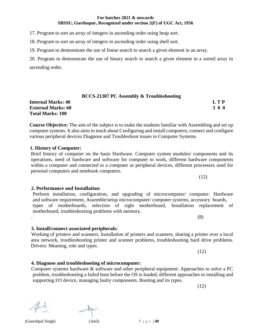# computer systems. It also aims to teach about Configuring and install computers, connect and configure various peripheral devices Diagnose and Troubleshoot issues in Computer Systems.

#### **1. History of Computer:**

**Total Marks: 100**

Brief history of computer on the basis Hardware. Computer system modules/ components and its operations, need of hardware and software for computer to work, different hardware components within a computer and connected to a computer as peripheral devices, different processors used for personal computers and notebook computers.

Perform installation, configuration, and upgrading of microcomputer/ computer: Hardware and software requirement, Assemble/setup microcomputer/ computer systems, accessory boards, types of motherboards, selection of right motherboard, Installation replacement of motherboard, troubleshooting problems with memory.

Working of printers and scanners, Installation of printers and scanners, sharing a printer over a local area network, troubleshooting printer and scanner problems, troubleshooting hard drive problems. Drivers: Meaning, role and types.

Computer systems hardware & software and other peripheral equipment: Approaches to solve a PC problem, troubleshooting a failed boot before the OS is loaded, different approaches to installing and supporting I/O device, managing faulty components. Booting and its types.

(12)

# **For batches 2021 & onwards SBSSU, Gurdaspur, Recognized under section 2(F) of UGC Act, 1956**

17. Program to sort an array of integers in ascending order using heap sort.

18. Program to sort an array of integers in ascending order using shell sort.

19. Program to demonstrate the use of linear search to search a given element in an array.

20. Program to demonstrate the use of binary search to search a given element in a sorted array in ascending order.

**BCCS-21307 PC Assembly & Troubleshooting Internal Marks: 40 L T P External Marks: 60 3 0 0**

**Course Objective:** The aim of the subject is to make the students familiar with Assembling and set up

# **2. Performance and Installation:**

# **3. Install/connect associated peripherals:**

**4. Diagnose and troubleshooting of microcomputer:**

(Gureshpal Singh) (Anil) P a g e | **40**



(12)

.  $\hspace{1.6cm} (8)$ 

(12)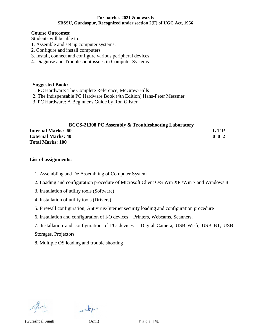#### **Course Outcomes:**

Students will be able to:

- 1. Assemble and set up computer systems.
- 2. Configure and install computers
- 3. Install, connect and configure various peripheral devices
- 4. Diagnose and Troubleshoot issues in Computer Systems

#### **Suggested Book:**

- 1. PC Hardware: The Complete Reference, McGraw-Hills
- 2. The Indispensable PC Hardware Book (4th Edition) Hans-Peter Messmer
- 3. PC Hardware: A Beginner's Guide by Ron Gilster.

# **BCCS-21308 PC Assembly & Troubleshooting Laboratory Internal Marks: 60 L T P**

| <b>External Marks: 40</b> | $0\;\;0\;2$ |  |
|---------------------------|-------------|--|
| <b>Total Marks: 100</b>   |             |  |

#### **List of assignments:**

- 1. Assembling and De Assembling of Computer System
- 2. Loading and configuration procedure of Microsoft Client O/S Win XP /Win 7 and Windows 8
- 3. Installation of utility tools (Software)
- 4. Installation of utility tools (Drivers)
- 5. Firewall configuration, Antivirus/Internet security loading and configuration procedure
- 6. Installation and configuration of I/O devices Printers, Webcams, Scanners.
- 7. Installation and configuration of I/O devices Digital Camera, USB Wi-fi, USB BT, USB Storages, Projectors

8. Multiple OS loading and trouble shooting

(Gureshpal Singh) (Anil) P a g e | **41**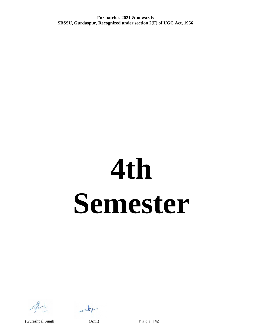# **4th Semester**



(Gureshpal Singh) (Anil) P a g e | **42**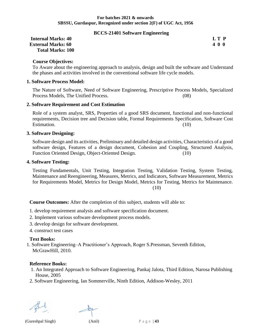#### **BCCS-21401 Software Engineering**

| <b>Internal Marks: 40</b> | LT P |
|---------------------------|------|
| <b>External Marks: 60</b> | 400  |
| <b>Total Marks: 100</b>   |      |

**Course Objectives:**

To Aware about the engineering approach to analysis, design and built the software and Understand the phases and activities involved in the conventional software life cycle models.

#### **1. Software Process Model:**

The Nature of Software, Need of Software Engineering, Prescriptive Process Models, Specialized Process Models, The Unified Process. (08)

#### **2. Software Requirement and Cost Estimation**

Role of a system analyst, SRS, Properties of a good SRS document, functional and non-functional requirements, Decision tree and Decision table, Formal Requirements Specification, Software Cost Estimation. (10)

#### **3. Software Designing:**

Software design and its activities, Preliminary and detailed design activities, Characteristics of a good software design, Features of a design document, Cohesion and Coupling, Structured Analysis, Function Oriented Design, Object-Oriented Design. (10)

#### **4. Software Testing:**

Testing Fundamentals, Unit Testing, Integration Testing, Validation Testing, System Testing, Maintenance and Reengineering, Measures, Metrics, and Indicators, Software Measurement, Metrics for Requirements Model, Metrics for Design Model, Metrics for Testing, Metrics for Maintenance. (10)

**Course Outcomes:** After the completion of this subject, students will able to:

1. develop requirement analysis and software specification document.

- 2. Implement various software development process models.
- 3. develop design for software development.
- 4. construct test cases

#### **Text Books:**

1. Software Engineering–A Practitioner's Approach, Roger S.Pressman, Seventh Edition, McGrawHill, 2010.

#### **Reference Books:**

- 1. An Integrated Approach to Software Engineering, Pankaj Jalota, Third Edition, Narosa Publishing House, 2005
- 2. Software Engineering, Ian Sommerville, Ninth Edition, Addison-Wesley, 2011

(Gureshpal Singh) (Anil) P a g e | **43**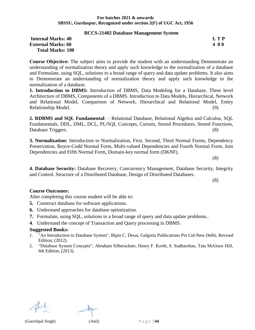#### **BCCS-21402 Database Management System**

#### **Internal Marks: 40 L T P L T P L T P External Marks: 60 4 0 0 Total Marks: 100**

**Course Objective:** The subject aims to provide the student with an understanding Demonstrate an understanding of normalization theory and apply such knowledge to the normalization of a database and Formulate, using SQL, solutions to a broad range of query and data update problems. It also aims to Demonstrate an understanding of normalization theory and apply such knowledge to the normalization of a database.

**1. Introduction to DBMS:** Introduction of DBMS, Data Modeling for a Database, Three level Architecture of DBMS, Components of a DBMS. Introduction to Data Models, Hierarchical, Network and Relational Model, Comparison of Network, Hierarchical and Relational Model, Entity Relationship Model. (9)

**2. RDBMS and SQL Fundamental**: – Relational Database, Relational Algebra and Calculus, SQL Fundamentals, DDL, DML, DCL, PL/SQL Concepts, Cursors, Stored Procedures, Stored Functions, Database Triggers. (8)

**3. Normalization:** Introduction to Normalization, First, Second, Third Normal Forms, Dependency Preservation, Boyce-Codd Normal Form, Multi-valued Dependencies and Fourth Normal Form, Join Dependencies and Fifth Normal Form, Domain-key normal form (DKNF).

(8)

**4. Database Security:** Database Recovery, Concurrency Management, Database Security, Integrity and Control. Structure of a Distributed Database, Design of Distributed Databases.

(8)

### **Course Outcomes:**

After completing this course student will be able to:

- **5.** Construct database for software applications.
- **6.** Understand approaches for database optimization.
- **7.** Formulate, using SQL, solutions to a broad range of query and data update problems..
- **4**. Understand the concept of Transaction and Query processing in DBMS.

#### **Suggested Books:**

- 1. "An Introduction to Database System", Bipin C. Desai, Galgotia Publications Pvt Ltd-New Delhi, Revised Edition, (2012).
- 2. "Database System Concepts", Abraham Silberschatz, Henry F. Korth, S. Sudharshan, Tata McGraw Hill, 6th Edition, (2013).

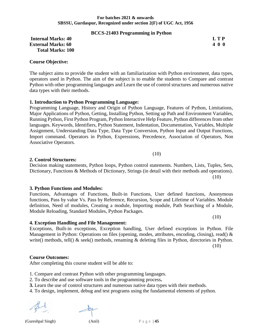#### **BCCS-21403 Programming in Python**

#### **Internal Marks: 40 L T P L T P L T P External Marks: 60 4 0 0 Total Marks: 100**

#### **Course Objective:**

The subject aims to provide the student with an familiarization with Python environment, data types, operators used in Python. The aim of the subject is to enable the students to Compare and contrast Python with other programming languages and Learn the use of control structures and numerous native data types with their methods.

#### **1. Introduction to Python Programming Language:**

Programming Language, History and Origin of Python Language, Features of Python, Limitations, Major Applications of Python, Getting, Installing Python, Setting up Path and Environment Variables, Running Python, First Python Program, Python Interactive Help Feature, Python differences from other languages. Keywords, Identifiers, Python Statement, Indentation, Documentation, Variables, Multiple Assignment, Understanding Data Type, Data Type Conversion, Python Input and Output Functions, Import command. Operators in Python, Expressions, Precedence, Association of Operators, Non Associative Operators.

#### **2. Control Structures:**

Decision making statements, Python loops, Python control statements. Numbers, Lists, Tuples, Sets, Dictionary, Functions & Methods of Dictionary, Strings (in detail with their methods and operations). (10)

#### **3. Python Functions and Modules:**

Functions, Advantages of Functions, Built-in Functions, User defined functions, Anonymous functions, Pass by value Vs. Pass by Reference, Recursion, Scope and Lifetime of Variables. Module definition, Need of modules, Creating a module, Importing module, Path Searching of a Module, Module Reloading, Standard Modules, Python Packages.

#### **4. Exception Handling and File Management:**

Exceptions, Built-in exceptions, Exception handling, User defined exceptions in Python. File Management in Python: Operations on files (opening, modes, attributes, encoding, closing), read() & write() methods, tell() & seek() methods, renaming & deleting files in Python, directories in Python.

(10)

(10)

#### **Course Outcomes:**

After completing this course student will be able to:

- 1. Compare and contrast Python with other programming languages.
- 2. To describe and use software tools in the programming process**.**
- **3.** Learn the use of control structures and numerous native data types with their methods.
- 4. To design, implement, debug and test programs using the fundamental elements of python.

(10)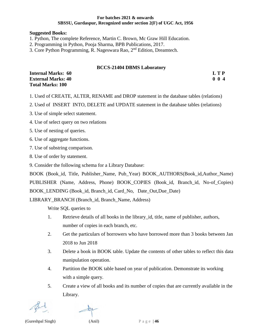#### **Suggested Books:**

- 1. Python, The complete Reference, Martin C. Brown, Mc Graw Hill Education.
- 2. Programming in Python, Pooja Sharma, BPB Publications, 2017.
- 3. Core Python Programming, R. Nageswara Rao, 2nd Edition, Dreamtech.

#### **BCCS-21404 DBMS Laboratory**

| <b>Internal Marks: 60</b> | L T P       |
|---------------------------|-------------|
| <b>External Marks: 40</b> | $0 \t0 \t4$ |
| <b>Total Marks: 100</b>   |             |

- 1. Used of CREATE, ALTER, RENAME and DROP statement in the database tables (relations)
- 2. Used of INSERT INTO, DELETE and UPDATE statement in the database tables (relations)
- 3. Use of simple select statement.
- 4. Use of select query on two relations
- 5. Use of nesting of queries.
- 6. Use of aggregate functions.
- 7. Use of substring comparison.
- 8. Use of order by statement.
- 9. Consider the following schema for a Library Database:

BOOK (Book\_id, Title, Publisher\_Name, Pub\_Year) BOOK\_AUTHORS(Book\_id,Author\_Name) PUBLISHER (Name, Address, Phone) BOOK\_COPIES (Book\_id, Branch\_id, No-of\_Copies) BOOK\_LENDING (Book\_id, Branch\_id, Card\_No, Date\_Out,Due\_Date)

LIBRARY\_BRANCH (Branch\_id, Branch\_Name, Address)

Write SQL queries to

- 1. Retrieve details of all books in the library\_id, title, name of publisher, authors, number of copies in each branch, etc.
- 2. Get the particulars of borrowers who have borrowed more than 3 books between Jan 2018 to Jun 2018
- 3. Delete a book in BOOK table. Update the contents of other tables to reflect this data manipulation operation.
- 4. Partition the BOOK table based on year of publication. Demonstrate its working with a simple query.
- 5. Create a view of all books and its number of copies that are currently available in the Library.

(Gureshpal Singh) (Anil) P a g e | **46**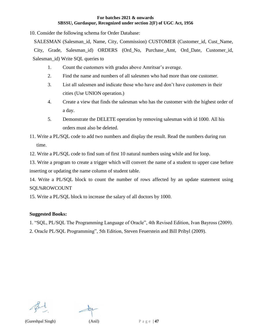10. Consider the following schema for Order Database:

SALESMAN (Salesman id, Name, City, Commission) CUSTOMER (Customer id, Cust Name, City, Grade, Salesman\_id) ORDERS (Ord\_No, Purchase\_Amt, Ord\_Date, Customer\_id, Salesman\_id) Write SQL queries to

- 1. Count the customers with grades above Amritsar's average.
- 2. Find the name and numbers of all salesmen who had more than one customer.
- 3. List all salesmen and indicate those who have and don't have customers in their cities (Use UNION operation.)
- 4. Create a view that finds the salesman who has the customer with the highest order of a day.
- 5. Demonstrate the DELETE operation by removing salesman with id 1000. All his orders must also be deleted.
- 11. Write a PL/SQL code to add two numbers and display the result. Read the numbers during run time.
- 12. Write a PL/SQL code to find sum of first 10 natural numbers using while and for loop.

13. Write a program to create a trigger which will convert the name of a student to upper case before inserting or updating the name column of student table.

14. Write a PL/SQL block to count the number of rows affected by an update statement using SQL%ROWCOUNT

15. Write a PL/SQL block to increase the salary of all doctors by 1000.

#### **Suggested Books:**

- 1. "SQL, PL/SQL The Programming Language of Oracle", 4th Revised Edition, Ivan Bayross (2009).
- 2. Oracle PL/SQL Programming", 5th Edition, Steven Feuerstein and Bill Pribyl (2009).

(Gureshpal Singh) (Anil) P a g e | **47**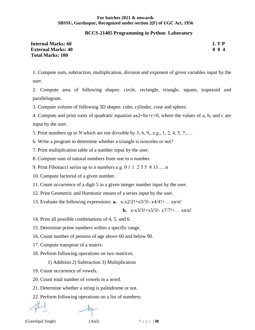#### **BCCS-21405 Programming in Python Laboratory**

| <b>Internal Marks: 60</b> | LTP              |
|---------------------------|------------------|
| <b>External Marks: 40</b> | 0 <sub>0</sub> 4 |
| <b>Total Marks: 100</b>   |                  |

1. Compute sum, subtraction, multiplication, division and exponent of given variables input by the user.

2. Compute area of following shapes: circle, rectangle, triangle, square, trapezoid and parallelogram.

3. Compute volume of following 3D shapes: cube, cylinder, cone and sphere.

4. Compute and print roots of quadratic equation ax2+bx+c=0, where the values of a, b, and c are input by the user.

5. Print numbers up to N which are not divisible by 3, 6, 9,, e.g., 1, 2, 4, 5, 7,….

6. Write a program to determine whether a triangle is isosceles or not?

7. Print multiplication table of a number input by the user.

8. Compute sum of natural numbers from one to n number.

9. Print Fibonacci series up to n numbers e.g. 0 1 1 2 3 5 8 13…..n

10. Compute factorial of a given number.

11. Count occurrence of a digit 5 in a given integer number input by the user.

12. Print Geometric and Harmonic means of a series input by the user.

13. Evaluate the following expressions: **a.** x-x2/2!+x3/3!- x4/4!+… xn/n!

**b.**  $x-x3/3!+x5/5!-x7/7!+...$   $xn/n!$ 

14. Print all possible combinations of 4, 5, and 6.

15. Determine prime numbers within a specific range.

16. Count number of persons of age above 60 and below 90.

17. Compute transpose of a matrix.

18. Perform following operations on two matrices.

1) Addition 2) Subtraction 3) Multiplication

19. Count occurrence of vowels.

20. Count total number of vowels in a word.

21. Determine whether a string is palindrome or not.

22. Perform following operations on a list of numbers: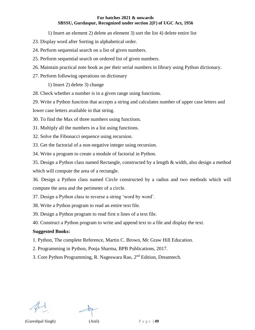1) Insert an element 2) delete an element 3) sort the list 4) delete entire list

- 23. Display word after Sorting in alphabetical order.
- 24. Perform sequential search on a list of given numbers.
- 25. Perform sequential search on ordered list of given numbers.
- 26. Maintain practical note book as per their serial numbers in library using Python dictionary.
- 27. Perform following operations on dictionary

1) Insert 2) delete 3) change

28. Check whether a number is in a given range using functions.

29. Write a Python function that accepts a string and calculates number of upper case letters and

lower case letters available in that string.

30. To find the Max of three numbers using functions.

31. Multiply all the numbers in a list using functions.

32. Solve the Fibonacci sequence using recursion.

33. Get the factorial of a non-negative integer using recursion.

34. Write a program to create a module of factorial in Python.

35. Design a Python class named Rectangle, constructed by a length & width, also design a method which will compute the area of a rectangle.

36. Design a Python class named Circle constructed by a radius and two methods which will compute the area and the perimeter of a circle.

37. Design a Python class to reverse a string 'word by word'.

38. Write a Python program to read an entire text file.

39. Design a Python program to read first n lines of a text file.

40. Construct a Python program to write and append text to a file and display the text.

#### **Suggested Books:**

1. Python, The complete Reference, Martin C. Brown, Mc Graw Hill Education.

- 2. Programming in Python, Pooja Sharma, BPB Publications, 2017.
- 3. Core Python Programming, R. Nageswara Rao, 2<sup>nd</sup> Edition, Dreamtech.

(Gureshpal Singh) (Anil) P a g e | **49**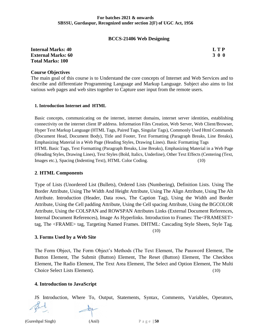#### **BCCS-21406 Web Designing**

**Internal Marks: 40 L T P External Marks: 60 3 0 0 Total Marks: 100**

#### **Course Objectives**

The main goal of this course is to Understand the core concepts of Internet and Web Services and to describe and differentiate Programming Language and Markup Language. Subject also aims to list various web pages and web sites together to Capture user input from the remote users.

#### **1. Introduction Internet and HTML**

Basic concepts, communicating on the internet, internet domains, internet server identities, establishing connectivity on the internet client IP address. Information Files Creation, Web Server, Web Client/Browser, Hyper Text Markup Language (HTML Tags, Paired Tags, Singular Tags), Commonly Used Html Commands (Document Head, Document Body), Title and Footer, Text Formatting (Paragraph Breaks, Line Breaks), Emphasizing Material in a Web Page (Heading Styles, Drawing Lines). Basic Formatting Tags HTML Basic Tags, Text Formatting (Paragraph Breaks, Line Breaks), Emphasizing Material in a Web Page (Heading Styles, Drawing Lines), Text Styles (Bold, Italics, Underline), Other Text Effects (Centering (Text, Images etc.), Spacing (Indenting Text), HTML Color Coding. (10)

#### **2**. **HTML Components**

Type of Lists (Unordered List (Bullets), Ordered Lists (Numbering), Definition Lists. Using The Border Attribute, Using The Width And Height Attribute, Using The Align Attribute, Using The Alt Attribute. Introduction (Header, Data rows, The Caption Tag), Using the Width and Border Attribute, Using the Cell padding Attribute, Using the Cell spacing Attribute, Using the BGCOLOR Attribute, Using the COLSPAN and ROWSPAN Attributes Links (External Document References, Internal Document References), Image As Hyperlinks. Introduction to Frames: The<FRAMESET> tag, The <FRAME> tag, Targeting Named Frames. DHTML: Cascading Style Sheets, Style Tag.

(10)

#### **3. Forms Used by a Web Site**

The Form Object, The Form Object's Methods (The Text Element, The Password Element, The Button Element, The Submit (Button) Element, The Reset (Button) Element, The Checkbox Element, The Radio Element, The Text Area Element, The Select and Option Element, The Multi Choice Select Lists Element). (10)

### **4. Introduction to JavaScript**

JS Introduction, Where To, Output, Statements, Syntax, Comments, Variables, Operators,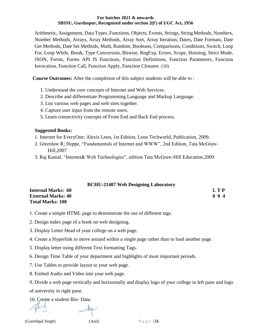Arithmetic, Assignment, Data Types, Functions, Objects, Events, Strings, String Methods, Numbers, Number Methods, Arrays, Array Methods, Array Sort, Array Iteration, Dates, Date Formats, Date Get Methods, Date Set Methods, Math, Random, Booleans, Comparisons, Conditions, Switch, Loop For, Loop While, Break, Type Conversion, Bitwise, RegExp, Errors, Scope, Hoisting, Strict Mode, JSON, Forms, Forms API JS Functions, Function Definitions, Function Parameters, Function Invocation, Function Call, Function Apply, Function Closures (10)

**Course Outcomes:** After the completion of this subject students will be able to :

- 1. Understand the core concepts of Internet and Web Services.
- 2. Describe and differentiate Programming Language and Markup Language.
- 3. List various web pages and web sites together.
- 4. Capture user input from the remote users.
- 5. Learn connectivity concepts of Front End and Back End process.

## **Suggested Books:**

- 1. Internet for EveryOne: Alexis Leon, 1st Edition, Leon Techworld, Publication, 2009.
- 2. Greenlaw R; Heppe, "Fundamentals of Internet and WWW", 2nd Edition, Tata McGraw-Hill,2007
- 3. Raj Kamal, "Internet& Web Technologies", edition Tata McGraw-Hill Education.2009.

### **BCHU-21407 Web Designing Laboratory**

| <b>Internal Marks: 60</b> | <b>LTP</b> |
|---------------------------|------------|
| <b>External Marks: 40</b> | 004        |
| <b>Total Marks: 100</b>   |            |

- 1. Create a simple HTML page to demonstrate the use of different tags.
- 2. Design index page of a book on web designing.
- 3. Display Letter Head of your college on a web page.
- 4. Create a Hyperlink to move around within a single page rather than to load another page.
- 5. Display letter using different Text formatting Tags.
- 6. Design Time Table of your department and highlights of most important periods.
- 7. Use Tables to provide layout to your web page.
- 8. Embed Audio and Video into your web page.

9. Divide a web page vertically and horizontally and display logo of your college in left pane and logo of university in right pane.

10. Create a student Bio- Data.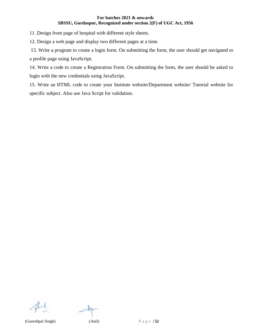11 .Design front page of hospital with different style sheets.

12. Design a web page and display two different pages at a time.

13. Write a program to create a login form. On submitting the form, the user should get navigated to a profile page using JavaScript.

14. Write a code to create a Registration Form. On submitting the form, the user should be asked to login with the new credentials using JavaScript.

15. Write an HTML code to create your Institute website/Department website/ Tutorial website for specific subject. Also use Java Script for validation.



(Gureshpal Singh) (Anil) P a g e | **52**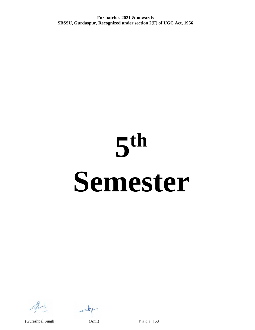# **5 th Semester**



(Gureshpal Singh) (Anil) P a g e | **53**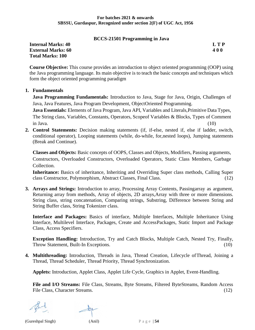#### **BCCS-21501 Programming in Java**

**Internal Marks: 40 L T P External Marks: 60 4 0 0 Total Marks: 100**

**Course Objective:** This course provides an introduction to object oriented programming (OOP) using the Java programming language. Its main objective is to teach the basic concepts and techniques which form the object oriented programming paradigm

#### **1. Fundamentals**

**Java Programming Fundamentals:** Introduction to Java, Stage for Java, Origin, Challenges of Java, Java Features, Java Program Development, ObjectOriented Programming.

**Java Essentials:** Elements of Java Program, Java API, Variables and Literals,Primitive Data Types, The String class, Variables, Constants, Operators, Scopeof Variables & Blocks, Types of Comment  $\text{in Java.}$  (10)

**2. Control Statements:** Decision making statements (if, if-else, nested if, else if ladder, switch, conditional operator), Looping statements (while, do-while, for,nested loops), Jumping statements (Break and Continue).

**Classes and Objects:** Basic concepts of OOPS, Classes and Objects, Modifiers, Passing arguments, Constructors, Overloaded Constructors, Overloaded Operators, Static Class Members, Garbage Collection.

**Inheritance:** Basics of inheritance, Inheriting and Overriding Super class methods, Calling Super class Constructor, Polymorphism, Abstract Classes, Final Class. (12)

**3. Arrays and Strings:** Introduction to array, Processing Array Contents, Passingarray as argument, Returning array from methods, Array of objects, 2D arrays,Array with three or more dimensions. String class, string concatenation, Comparing strings, Substring, Difference between String and String Buffer class, String Tokenizer class.

**Interface and Packages:** Basics of interface, Multiple Interfaces, Multiple Inheritance Using Interface, Multilevel Interface, Packages, Create and AccessPackages, Static Import and Package Class, Access Specifiers.

**Exception Handling:** Introduction, Try and Catch Blocks, Multiple Catch, Nested Try, Finally, Throw Statement, Built-In Exceptions. (10)

**4. Multithreading:** Introduction, Threads in Java, Thread Creation, Lifecycle ofThread, Joining a Thread, Thread Scheduler, Thread Priority, Thread Synchronization.

**Applets:** Introduction, Applet Class, Applet Life Cycle, Graphics in Applet, Event-Handling.

**File and I/O Streams:** File Class, Streams, Byte Streams, Filtered ByteStreams, Random Access File Class, Character Streams. (12) (12)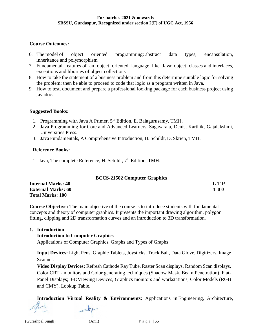#### **Course Outcomes:**

- 6. The model of object oriented programming: abstract data types, encapsulation, inheritance and polymorphism
- 7. Fundamental features of an object oriented language like Java: object classes and interfaces, exceptions and libraries of object collections
- 8. How to take the statement of a business problem and from this determine suitable logic for solving the problem; then be able to proceed to code that logic as a program written in Java.
- 9. How to test, document and prepare a professional looking package for each business project using javadoc.

#### **Suggested Books:**

- 1. Programming with Java A Primer, 5<sup>th</sup> Edition, E. Balagurusamy, TMH.
- 2. Java Programming for Core and Advanced Learners, Sagayaraja, Denis, Karthik, Gajalakshmi, Universities Press.
- 3. Java Fundamentals, A Comprehensive Introduction, H. Schildt, D. Skrien, TMH.

#### **Reference Books:**

1. Java, The complete Reference, H. Schildt, 7th Edition, TMH.

### **BCCS-21502 Computer Graphics**

| <b>Internal Marks: 40</b> | <b>LTP</b> |
|---------------------------|------------|
| <b>External Marks: 60</b> | 400        |
| <b>Total Marks: 100</b>   |            |

**Course Objective:** The main objective of the course is to introduce students with fundamental concepts and theory of computer graphics. It presents the important drawing algorithm, polygon fitting, clipping and 2D transformation curves and an introduction to 3D transformation.

#### **1. Introduction**

#### **Introduction to Computer Graphics**

Applications of Computer Graphics. Graphs and Types of Graphs

**Input Devices:** Light Pens, Graphic Tablets, Joysticks, Track Ball, Data Glove, Digitizers, Image Scanner.

**Video Display Devices:** Refresh Cathode Ray Tube, Raster Scan displays, Random Scan displays, Color CRT - monitors and Color generating techniques (Shadow Mask, Beam Penetration), Flat-Panel Displays; 3-DViewing Devices, Graphics monitors and workstations, Color Models (RGB and CMY), Lookup Table.

**Introduction Virtual Reality & Environments:** Applications in Engineering, Architecture,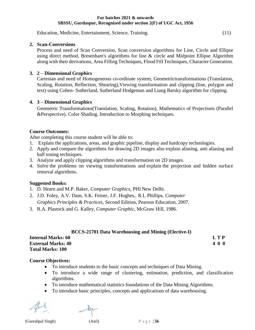Education, Medicine, Entertainment, Science, Training. (11)

#### **2. Scan-Conversions**

Process and need of Scan Conversion, Scan conversion algorithms for Line, Circle and Ellipse using direct method, Bresenham's algorithms for line & circle and Midpoint Ellipse Algorithm along with their derivations, Area Filling Techniques, Flood Fill Techniques, Character Generation.

#### **3. 2 – Dimensional Graphics**

Cartesian and need of Homogeneous co-ordinate system, Geometrictransformations (Translation, Scaling, Rotation, Reflection, Shearing),Viewing transformation and clipping (line, polygon and text) using Cohen- Sutherland, Sutherland Hodgeman and Liang Barsky algorithm for clipping.

### **4. 3 – Dimensional Graphics**

Geometric Transformations(Translation, Scaling, Rotation), Mathematics of Projections (Parallel &Perspective). Color Shading. Introduction to Morphing techniques.

#### **Course Outcomes:**

After completing this course student will be able to:

- 1. Explain the applications, areas, and graphic pipeline, display and hardcopy technologies.
- 2. Apply and compare the algorithms for drawing 2D images also explain aliasing, anti aliasing and half toning techniques.
- 3. Analyze and apply clipping algorithms and transformation on 2D images.
- 4. Solve the problems on viewing transformations and explain the projection and hidden surface removal algorithms.

### **Suggested Books:**

- 1. D. Hearn and M.P. Baker, *Computer Graphics*, PHI New Delhi.
- 2. J.D. Foley, A.V. Dam, S.K. Feiner, J.F. Hughes,. R.L Phillips, *Computer Graphics Principles & Practices*, Second Edition, Pearson Education, 2007.
- 3. R.A. Plastock and G. Kalley, *Computer Graphic*, McGraw Hill, 1986.

### **BCCS-21701 Data Warehousing and Mining (Elective-I)**

| <b>Internal Marks: 60</b> | <b>LTP</b> |
|---------------------------|------------|
| <b>External Marks: 40</b> | 400        |
| <b>Total Marks: 100</b>   |            |

### **Course Objectives:**

- To introduce students to the basic concepts and techniques of Data Mining.
- To introduce a wide range of clustering, estimation, prediction, and classification algorithms.
- To introduce mathematical statistics foundations of the Data Mining Algorithms.
- To introduce basic principles, concepts and applications of data warehousing.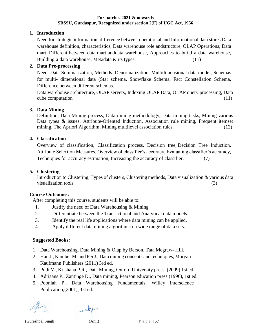### **1. Introduction**

Need for strategic information, difference between operational and Informational data stores Data warehouse definition, characteristics, Data warehouse role andstructure, OLAP Operations, Data mart, Different between data mart anddata warehouse, Approaches to build a data warehouse, Building a data warehouse, Metadata & its types. (11)

#### **2. Data Pre-processing**

Need, Data Summarization, Methods. Denormalization, Multidimensional data model, Schemas for multi- dimensional data (Star schema, Snowflake Schema, Fact Constellation Schema, Difference between different schemas.

Data warehouse architecture, OLAP servers, Indexing OLAP Data, OLAP query processing, Data cube computation (11)

#### **3. Data Mining**

Definition, Data Mining process, Data mining methodology, Data mining tasks, Mining various Data types & issues. Attribute-Oriented Induction, Association rule mining, Frequent itemset mining, The Apriori Algorithm, Mining multilevel association rules. (12)

#### **4. Classification**

Overview of classification, Classification process, Decision tree, Decision Tree Induction, Attribute Selection Measures. Overview of classifier's accuracy, Evaluating classifier's accuracy, Techniques for accuracy estimation, Increasing the accuracy of classifier. (7)

### **5. Clustering**

Introduction to Clustering, Types of clusters, Clustering methods, Data visualization & various data visualization tools (3)

### **Course Outcomes:**

After completing this course, students will be able to:

- 1. Justify the need of Data Warehousing & Mining
- 2. Differentiate between the Transactional and Analytical data models.
- 3. Identify the real life applications where data mining can be applied.
- 4. Apply different data mining algorithms on wide range of data sets.

#### **Suggested Books:**

- 1. Data Warehousing, Data Mining & Olap by Berson, Tata Mcgraw- Hill.
- 2. Han J., Kamber M. and PeiJ., Data mining concepts and techniques, Morgan Kaufmann Publishers (2011) 3rd ed.
- 3. Pudi V., Krishana P.R., Data Mining, Oxford University press, (2009) 1st ed.
- 4. Adriaans P., Zantinge D., Data mining, Pearson education press (1996), 1st ed.
- 5. Pooniah P., Data Warehousing Fundamentals, Willey interscience Publication,(2001), 1st ed.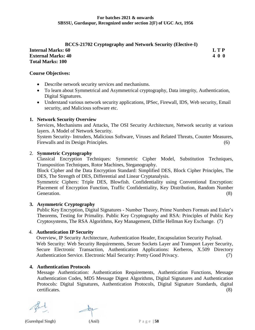## **BCCS-21702 Cryptography and Network Security (Elective-I) Internal Marks: 60 L T P External Marks: 40 4 0 0 Total Marks: 100**

#### **Course Objectives:**

- Describe network security services and mechanisms.
- To learn about Symmetrical and Asymmetrical cryptography, Data integrity, Authentication, Digital Signatures.
- Understand various network security applications, IPSec, Firewall, IDS, Web security, Email security, and Malicious software etc.

#### **1. Network Security Overview**

Services, Mechanisms and Attacks, The OSI Security Architecture, Network security at various layers. A Model of Network Security.

System Security- Intruders, Malicious Software, Viruses and Related Threats, Counter Measures, Firewalls and its Design Principles. (6)

#### 2. **Symmetric Cryptography**

Classical Encryption Techniques: Symmetric Cipher Model, Substitution Techniques, Transposition Techniques, Rotor Machines, Steganography.

Block Cipher and the Data Encryption Standard: Simplified DES, Block Cipher Principles, The DES, The Strength of DES, Differential and Linear Cryptanalysis.

Symmetric Ciphers: Triple DES, Blowfish. Confidentiality using Conventional Encryption: Placement of Encryption Function, Traffic Confidentiality, Key Distribution, Random Number Generation. (8)

### **3. Asymmetric Cryptography**

Public Key Encryption, Digital Signatures - Number Theory, Prime Numbers Formats and Euler's Theorems, Testing for Primality. Public Key Cryptography and RSA: Principles of Public Key Cryptosystems, The RSA Algorithms, Key Management, Diffie Hellman Key Exchange. (7)

#### 4. **Authentication IP Security**

Overview, IP Security Architecture, Authentication Header, Encapsulation Security Payload. Web Security: Web Security Requirements, Secure Sockets Layer and Transport Layer Security, Secure Electronic Transaction, Authentication Applications: Kerberos, X.509 Directory Authentication Service. Electronic Mail Security: Pretty Good Privacy. (7)

### **4. Authentication Protocols**

Message Authentication: Authentication Requirements, Authentication Functions, Message Authentication Codes, MD5 Message Digest Algorithms, Digital Signatures and Authentication Protocols: Digital Signatures, Authentication Protocols, Digital Signature Standards, digital certificates. (8)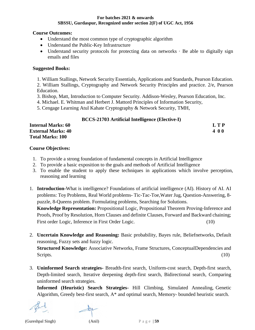#### **Course Outcomes:**

- Understand the most common type of cryptographic algorithm
- Understand the Public-Key Infrastructure
- Understand security protocols for protecting data on networks  $\cdot$  Be able to digitally sign emails and files

### **Suggested Books:**

1. William Stallings, Network Security Essentials, Applications and Standards, Pearson Education.

2. William Stallings, Cryptography and Network Security Principles and practice. 2/e, Pearson Education.

- 3. Bishop, Matt, Introduction to Computer Security. Addison-Wesley, Pearson Education, Inc.
- 4. Michael. E. Whitman and Herbert J. Mattord Principles of Information Security,
- 5. Cengage Learning Atul Kahate Cryptography & Network Security, TMH,

|                           | <b>BCCS-21703</b> Artificial Intelligence (Elective-I) |
|---------------------------|--------------------------------------------------------|
| <b>Internal Marks: 60</b> | <b>LTP</b>                                             |
| <b>External Marks: 40</b> | 400                                                    |
| <b>Total Marks: 100</b>   |                                                        |

## **Course Objectives:**

- 1. To provide a strong foundation of fundamental concepts in Artificial Intelligence
- 2. To provide a basic exposition to the goals and methods of Artificial Intelligence
- 3. To enable the student to apply these techniques in applications which involve perception, reasoning and learning
- 1. **Introduction-**What is intelligence? Foundations of artificial intelligence (AI). History of AI. AI problems: Toy Problems, Real World problems- Tic-Tac-Toe,Water Jug, Question-Answering, 8 puzzle, 8-Queens problem. Formulating problems, Searching for Solutions. **Knowledge Representation:** Propositional Logic, Propositional Theorem Proving-Inference and Proofs, Proof by Resolution, Horn Clauses and definite Clauses, Forward and Backward chaining; First order Logic, Inference in First Order Logic. (10)
- 2. **Uncertain Knowledge and Reasoning:** Basic probability, Bayes rule, Beliefnetworks, Default reasoning, Fuzzy sets and fuzzy logic. **Structured Knowledge:** Associative Networks, Frame Structures, ConceptualDependencies and

Scripts. (10)

3. **Uninformed Search strategies-** Breadth-first search, Uniform-cost search, Depth-first search, Depth-limited search, Iterative deepening depth-first search, Bidirectional search, Comparing uninformed search strategies.

**Informed (Heuristic) Search Strategies-** Hill Climbing, Simulated Annealing, Genetic Algorithm, Greedy best-first search, A\* and optimal search, Memory- bounded heuristic search.

(Gureshpal Singh) (Anil) P a g e | **59**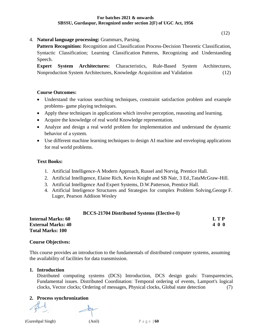(12)

4. **Natural language processing:** Grammars, Parsing.

**Pattern Recognition:** Recognition and Classification Process-Decision Theoretic Classification, Syntactic Classification; Learning Classification Patterns, Recognizing and Understanding Speech.

**Expert System Architectures:** Characteristics, Rule-Based System Architectures, Nonproduction System Architectures, Knowledge Acquisition and Validation (12)

### **Course Outcomes:**

- Understand the various searching techniques, constraint satisfaction problem and example problems- game playing techniques.
- Apply these techniques in applications which involve perception, reasoning and learning.
- Acquire the knowledge of real world Knowledge representation.
- Analyze and design a real world problem for implementation and understand the dynamic behavior of a system.
- Use different machine learning techniques to design AI machine and enveloping applications for real world problems.

### **Text Books:**

- 1. Artificial Intelligence-A Modern Approach, Russel and Norvig, Prentice Hall.
- 2. Artificial Intelligence, Elaine Rich, Kevin Knight and SB Nair, 3 Ed.,TataMcGraw-Hill.
- 3. Artificial Intelligence And Expert Systems, D.W.Patterson, Prentice Hall.

**BCCS-21704 Distributed Systems (Elective-I)**

4. Artificial Inteligence Structures and Strategies for complex Problem Solving,George F. Luger, Pearson Addison Wesley

| BCCS-21704 Distributed Systems (Elective-1) |       |
|---------------------------------------------|-------|
| <b>Internal Marks: 60</b>                   | L T P |
| <b>External Marks: 40</b>                   | 400   |
| Total Marks: 100                            |       |

#### **Course Objectives:**

This course provides an introduction to the fundamentals of distributed computer systems, assuming the availability of facilities for data transmission.

### **1. Introduction**

Distributed computing systems (DCS) Introduction, DCS design goals: Transparencies, Fundamental issues. Distributed Coordination: Temporal ordering of events, Lamport's logical clocks, Vector clocks; Ordering of messages, Physical clocks, Global state detection (7)

### **2. Process synchronization**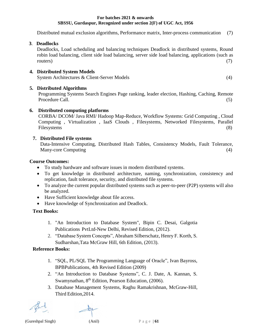Distributed mutual exclusion algorithms, Performance matrix, Inter-process communication (7)

**3**. **Deadlocks**

Deadlocks, Load scheduling and balancing techniques Deadlock in distributed systems, Round robin load balancing, client side load balancing, server side load balancing, applications (such as routers) (7)

# **4. Distributed System Models**

System Architectures & Client-Server Models (4)

# **5. Distributed Algorithms**

Programming Systems Search Engines Page ranking, leader election, Hashing, Caching, Remote Procedure Call. (5)

# **6. Distributed computing platforms**

CORBA/ DCOM/ Java RMI/ Hadoop Map-Reduce, Workflow Systems: Grid Computing , Cloud Computing , Virtualization , IaaS Clouds , Filesystems, Networked Filesystems, Parallel Filesystems (8)

# **7. Distributed File systems**

Data-Intensive Computing, Distributed Hash Tables, Consistency Models, Fault Tolerance, Many-core Computing (4)

# **Course Outcomes:**

- To study hardware and software issues in modern distributed systems.
- To get knowledge in distributed architecture, naming, synchronization, consistency and replication, fault tolerance, security, and distributed file systems.
- To analyze the current popular distributed systems such as peer-to-peer (P2P) systems will also be analyzed.
- Have Sufficient knowledge about file access.
- Have knowledge of Synchronization and Deadlock.

# **Text Books:**

- 1. "An Introduction to Database System", Bipin C. Desai, Galgotia Publications PvtLtd-New Delhi, Revised Edition, (2012).
- 2. "Database System Concepts", Abraham Silberschatz, Henry F. Korth, S. Sudharshan,Tata McGraw Hill, 6th Edition, (2013).

# **Reference Books:**

- 1. "SQL, PL/SQL The Programming Language of Oracle", Ivan Bayross, BPBPublications, 4th Revised Edition (2009)
- 2. "An Introduction to Database Systems", C. J. Date, A. Kannan, S. Swamynathan, 8<sup>th</sup> Edition, Pearson Education, (2006).
- 3. Database Management Systems, Raghu Ramakrishnan, McGraw-Hill, Third Edition,2014.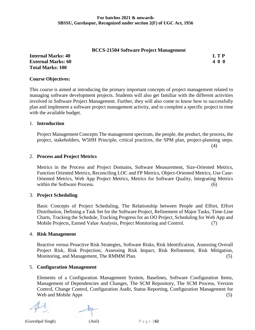#### **BCCS-21504 Software Project Management**

**Internal Marks: 40 L T P External Marks: 60 4 0 0 Total Marks: 100**

#### **Course Objectives:**

This course is aimed at introducing the primary important concepts of project management related to managing software development projects. Students will also get familiar with the different activities involved in Software Project Management. Further, they will also come to know how to successfully plan and implement a software project management activity, and to complete a specific project in time with the available budget.

#### 1. **Introduction**

Project Management Concepts The management spectrum, the people, the product, the process, the project, stakeholders, W5HH Principle, critical practices, the SPM plan, project-planning steps.

(4)

#### 2. **Process and Project Metrics**

Metrics in the Process and Project Domains, Software Measurement, Size-Oriented Metrics, Function Oriented Metrics, Reconciling LOC and FP Metrics, Object-Oriented Metrics, Use Case-Oriented Metrics, Web App Project Metrics, Metrics for Software Quality, Integrating Metrics within the Software Process. (6)

#### 3. **Project Scheduling**

Basic Concepts of Project Scheduling, The Relationship between People and Effort, Effort Distribution, Defining a Task Set for the Software Project, Refinement of Major Tasks, Time-Line Charts, Tracking the Schedule, Tracking Progress for an OO Project, Scheduling for Web App and Mobile Projects, Earned Value Analysis, Project Monitoring and Control. (7)

#### 4. **Risk Management**

Reactive versus Proactive Risk Strategies, Software Risks, Risk Identification, Assessing Overall Project Risk, Risk Projection, Assessing Risk Impact, Risk Refinement, Risk Mitigation, Monitoring, and Management, The RMMM Plan. (5)

#### 5. **Configuration Management**

Elements of a Configuration Management System, Baselines, Software Configuration Items, Management of Dependencies and Changes, The SCM Repository, The SCM Process, Version Control, Change Control, Configuration Audit, Status Reporting, Configuration Management for Web and Mobile Apps (5)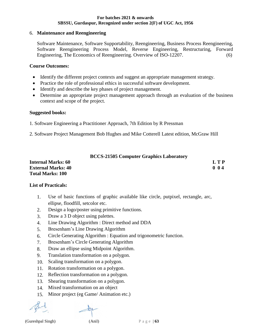#### 6. **Maintenance and Reengineering**

Software Maintenance, Software Supportability, Reengineering, Business Process Reengineering, Software Reengineering Process Model, Reverse Engineering, Restructuring, Forward Engineering, The Economics of Reengineering. Overview of ISO-12207. (6)

#### **Course Outcomes:**

- Identify the different project contexts and suggest an appropriate management strategy.
- Practice the role of professional ethics in successful software development.
- Identify and describe the key phases of project management.
- Determine an appropriate project management approach through an evaluation of the business context and scope of the project.

#### **Suggested books:**

- 1. Software Engineering a Practitioner Approach, 7th Edition by R Pressman
- 2. Software Project Management Bob Hughes and Mike Cotterell Latest edition, McGraw Hill

|                           | <b>BCCS-21505 Computer Graphics Laboratory</b> |     |
|---------------------------|------------------------------------------------|-----|
| <b>Internal Marks: 60</b> |                                                | LTP |
| <b>External Marks: 40</b> |                                                | 004 |
| <b>Total Marks: 100</b>   |                                                |     |

#### **List of Practicals:**

- 1. Use of basic functions of graphic available like circle, putpixel, rectangle, arc, ellipse, floodfill, setcolor etc.
- 2. Design a logo/poster using primitive functions.
- 3. Draw a 3 D object using palettes.
- 4. Line Drawing Algorithm : Direct method and DDA
- 5. Bresenham's Line Drawing Algorithm
- 6. Circle Generating Algorithm : Equation and trigonometric function.
- 7. Bresenham's Circle Generating Algorithm
- 8. Draw an ellipse using Midpoint Algorithm.
- 9. Translation transformation on a polygon.
- 10. Scaling transformation on a polygon.
- 11. Rotation transformation on a polygon.
- 12. Reflection transformation on a polygon.
- 13. Shearing transformation on a polygon.
- 14. Mixed transformation on an object
- 15. Minor project (eg Game/ Animation etc.)

(Gureshpal Singh)  $(Anil)$   $P \circ g \circ | 63$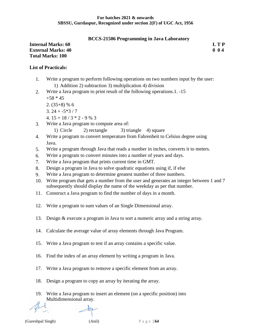#### **BCCS-21506 Programming in Java Laboratory**

#### **Internal Marks: 60 L T P External Marks: 40 0 0 4 Total Marks: 100**

# **List of Practicals:**

- 1. Write a program to perform following operations on two numbers input by the user: 1) Addition 2) subtraction 3) multiplication 4) division
- 2. Write a Java program to print result of the following operations.1. -15  $+58 * 45$ 
	- $2. (35+8) \% 6$
	- $3.24 + -5*3/7$
	- 4.  $15 + 18 / 3 * 2 9 \% 3$
- 3. Write a Java program to compute area of:
	- 1) Circle 2) rectangle 3) triangle 4) square
- 4. Write a program to convert temperature from Fahrenheit to Celsius degree using Java.
- 5. Write a program through Java that reads a number in inches, converts it to meters.
- 6. Write a program to convert minutes into a number of years and days.
- 7. Write a Java program that prints current time in GMT.
- 8. Design a program in Java to solve quadratic equations using if, if else
- 9. Write a Java program to determine greatest number of three numbers.
- 10. Write program that gets a number from the user and generates an integer between 1 and 7 subsequently should display the name of the weekday as per that number.
- 11. Construct a Java program to find the number of days in a month.
- 12. Write a program to sum values of an Single Dimensional array.
- 13. Design & execute a program in Java to sort a numeric array and a string array.
- 14. Calculate the average value of array elements through Java Program.
- 15. Write a Java program to test if an array contains a specific value.
- 16. Find the index of an array element by writing a program in Java.
- 17. Write a Java program to remove a specific element from an array.
- 18. Design a program to copy an array by iterating the array.
- 19. Write a Java program to insert an element (on a specific position) into Multidimensional array.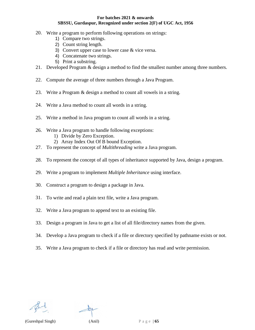- 20. Write a program to perform following operations on strings:
	- 1) Compare two strings.
	- 2) Count string length.
	- 3) Convert upper case to lower case & vice versa.
	- 4) Concatenate two strings.
	- 5) Print a substring.
- 21. Developed Program & design a method to find the smallest number among three numbers.
- 22. Compute the average of three numbers through a Java Program.
- 23. Write a Program & design a method to count all vowels in a string.
- 24. Write a Java method to count all words in a string.
- 25. Write a method in Java program to count all words in a string.
- 26. Write a Java program to handle following exceptions: 1) Divide by Zero Exception.
	- 2) Array Index Out Of B bound Exception.
- 27. To represent the concept of *Multithreading* write a Java program.
- 28. To represent the concept of all types of inheritance supported by Java, design a program.
- 29. Write a program to implement *Multiple Inheritance* using interface.
- 30. Construct a program to design a package in Java.
- 31. To write and read a plain text file, write a Java program.
- 32. Write a Java program to append text to an existing file.
- 33. Design a program in Java to get a list of all file/directory names from the given.
- 34. Develop a Java program to check if a file or directory specified by pathname exists or not.
- 35. Write a Java program to check if a file or directory has read and write permission.

(Gureshpal Singh) (Anil) P a g e | **65**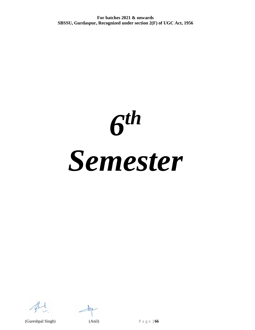*6 th Semester*

 $\pm 15$ 

(Gureshpal Singh) (Anil) P a g e | **66**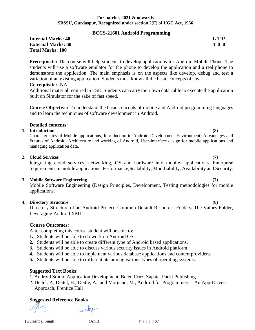#### **BCCS-21601 Android Programming**

#### **Internal Marks: 40 L T P L T P External Marks: 60 4 0 0 Total Marks: 100**

**Prerequisite:** The course will help students to develop applications for Android Mobile Phone. The students will use a software emulator for the phone to develop the application and a real phone to demonstrate the application. The main emphasis is on the aspects like develop, debug and test a variation of an existing application. Students must know all the basic concepts of Java.

#### **Co requisite:** -NA-

Additional material required in ESE: Students can carry their own data cable to execute the application built on Simulator for the sake of fast speed.

**Course Objective:** To understand the basic concepts of mobile and Android programming languages and to learn the techniques of software development in Android.

#### **Detailed contents:**

#### **1. Introduction (8)**

Characteristics of Mobile applications, Introduction to Android Development Environment, Advantages and Futures of Android, Architecture and working of Android, User-interface design for mobile applications and managing application data.

#### **2. Cloud Services (7)**

Integrating cloud services, networking, OS and hardware into mobile- applications. Enterprise requirements in mobile applications: Performance, Scalability, Modifiability, Availability and Security.

#### **3. Mobile Software Engineering (7)**

Mobile Software Engineering (Design Principles, Development, Testing methodologies for mobile applications.

#### **4. Directory Structure (8)**

Directory Structure of an Android Project, Common Default Resources Folders, The Values Folder, Leveraging Android XML.

### **Course Outcomes:**

After completing this course student will be able to:

- **1.** Students will be able to do work on Android OS.
- **2.** Students will be able to create different type of Android based applications.
- **3.** Students will be able to discuss various security issues in Android platform.
- **4.** Students will be able to implement various database applications and contentproviders.
- **5.** Students will be able to differentiate among various types of operating systems.

#### **Suggested Text Books:**

- 1. Android Studio Application Development, Belen Cruz, Zapata, Packt Publishing
- 2. Deitel, P., Deitel, H., Deitle, A., and Morgano, M., Android for Programmers An App-Driven Approach, Prentice Hall

#### **Suggested Reference Books**

(Gureshpal Singh)  $(Anil)$   $P \circ g \circ | 67$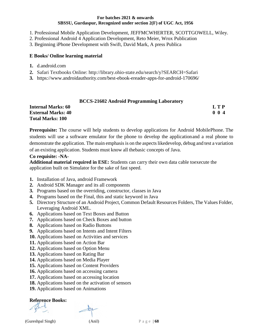- 1. Professional Mobile Application Development, JEFFMCWHERTER, SCOTTGOWELL, Wiley.
- 2. Professional Android 4 Application Development, Reto Meier, Wrox Publication
- 3. Beginning iPhone Development with Swift, David Mark, A press Publica

#### **E Books/ Online learning material**

- **1.** d.android.com
- **2.** Safari Textbooks Online: <http://library.ohio-state.edu/search/y?SEARCH=Safari>
- **3.** https:[//www.androidauthority.com/best-ebook-ereader-apps-for-android-170696/](http://www.androidauthority.com/best-ebook-ereader-apps-for-android-170696/)

#### **BCCS-21602 Android Programming Laboratory**

| <b>Internal Marks: 60</b> | L T P       |
|---------------------------|-------------|
| <b>External Marks: 40</b> | $0 \t0 \t4$ |
| <b>Total Marks: 100</b>   |             |

**Prerequisite:** The course will help students to develop applications for Android MobilePhone. The students will use a software emulator for the phone to develop the applicationand a real phone to demonstrate the application. The main emphasis is on the aspects likedevelop, debug and test a variation of an existing application. Students must know all thebasic concepts of Java.

#### **Co requisite: -NA-**

**Additional material required in ESE:** Students can carry their own data cable toexecute the application built on Simulator for the sake of fast speed.

- **1.** Installation of Java, android Framework
- **2.** Android SDK Manager and its all components
- **3.** Programs based on the overriding, constructor, classes in Java
- **4.** Programs based on the Final, this and static keyword in Java
- **5.** Directory Structure of an Android Project, Common Default Resources Folders, The Values Folder, Leveraging Android XML.
- **6.** Applications based on Text Boxes and Button
- **7.** Applications based on Check Boxes and button
- **8.** Applications based on Radio Buttons
- **9.** Applications based on Intents and Intent Filters
- **10.** Applications based on Activities and services
- **11.** Applications based on Action Bar
- **12.** Applications based on Option Menu
- **13.** Applications based on Rating Bar
- **14.** Applications based on Media Player
- **15.** Applications based on Content Providers
- **16.** Applications based on accessing camera
- **17.** Applications based on accessing location
- **18.** Applications based on the activation of sensors
- **19.** Applications based on Animations

### **Reference Books:**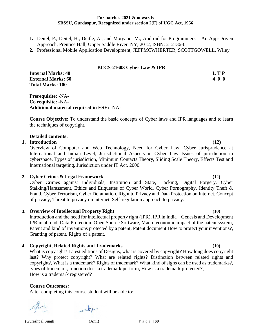- **1.** Deitel, P., Deitel, H., Deitle, A., and Morgano, M., Android for Programmers An App-Driven Approach, Prentice Hall, Upper Saddle River, NY, 2012, ISBN: 212136-0.
- **2.** Professional Mobile Application Development, JEFFMCWHERTER, SCOTTGOWELL, Wiley.

#### **BCCS-21603 Cyber Law & IPR**

**Internal Marks: 40 L T P External Marks: 60 4 0 0 Total Marks: 100**

**Prerequisite:** -NA-**Co requisite:** -NA-**Additional material required in ESE:** -NA-

**Course Objective:** To understand the basic concepts of Cyber laws and IPR languages and to learn the techniques of copyright.

#### **Detailed contents:**

#### **1. Introduction (12)**

Overview of Computer and Web Technology, Need for Cyber Law, Cyber Jurisprudence at International and Indian Level, Jurisdictional Aspects in Cyber Law Issues of jurisdiction in cyberspace, Types of jurisdiction, Minimum Contacts Theory, Sliding Scale Theory, Effects Test and International targeting, Jurisdiction under IT Act, 2000.

#### **2. Cyber Crimes& Legal Framework (12)**

Cyber Crimes against Individuals, Institution and State, Hacking, Digital Forgery, Cyber Stalking/Harassment, Ethics and Etiquettes of Cyber World, Cyber Pornography, Identity Theft & Fraud, Cyber Terrorism, Cyber Defamation, Right to Privacy and Data Protection on Internet, Concept of privacy, Threat to privacy on internet, Self-regulation approach to privacy.

#### **3. Overview of Intellectual Property Right (10)**

Introduction and the need for intellectual property right (IPR), IPR in India – Genesis and Development IPR in abroad, Data Protection, Open Source Software, Macro economic impact of the patent system, Patent and kind of inventions protected by a patent, Patent document How to protect your inventions?, Granting of patent, Rights of a patent.

#### **4. Copyright, Related Rights and Trademarks (10)**

What is copyright? Latest editions of Designs, what is covered by copyright? How long does copyright last? Why protect copyright? What are related rights? Distinction between related rights and copyright?, What is a trademark? Rights of trademark? What kind of signs can be used as trademarks?, types of trademark, function does a trademark perform, How is a trademark protected?, How is a trademark registered?

#### **Course Outcomes:**

After completing this course student will be able to:

(Gureshpal Singh) (Anil) P a g e | **69**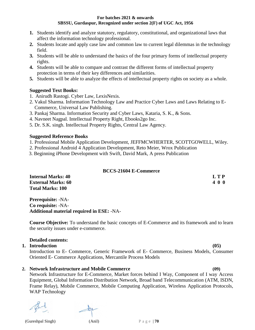- **1.** Students identify and analyze statutory, regulatory, constitutional, and organizational laws that affect the information technology professional.
- **2.** Students locate and apply case law and common law to current legal dilemmas in the technology field.
- **3.** Students will be able to understand the basics of the four primary forms of intellectual property rights.
- **4.** Students will be able to compare and contrast the different forms of intellectual property protection in terms of their key differences and similarities.
- **5.** Students will be able to analyze the effects of intellectual property rights on society as a whole.

### **Suggested Text Books:**

- 1. Anirudh Rastogi. Cyber Law, LexisNexis.
- 2. Vakul Sharma. Information Technology Law and Practice Cyber Laws and Laws Relating to E- Commerce, Universal Law Publishing.
- 3. Pankaj Sharma. Information Security and Cyber Laws, Kataria, S. K., & Sons.
- 4. Navneet Nagpal. Intellectual Property Right, Ebooks2go Inc.
- 5. Dr. S.K. singh. Intellectual Property Rights, Central Law Agency.

#### **Suggested Reference Books**

- 1. Professional Mobile Application Development, JEFFMCWHERTER, SCOTTGOWELL, Wiley.
- 2. Professional Android 4 Application Development, Reto Meier, Wrox Publication
- 3. Beginning iPhone Development with Swift, David Mark, A press Publication

#### **BCCS-21604 E-Commerce**

| <b>Internal Marks: 40</b> | LTP |
|---------------------------|-----|
| <b>External Marks: 60</b> | 400 |
| <b>Total Marks: 100</b>   |     |

**Prerequisite:** -NA-**Co requisite:** -NA-**Additional material required in ESE:** -NA-

**Course Objective:** To understand the basic concepts of E-Commerce and its framework and to learn the security issues under e-commerce.

#### **Detailed contents:**

#### **1. Introduction (05)**

Introduction to E- Commerce, Generic Framework of E- Commerce, Business Models, Consumer Oriented E- Commerce Applications, Mercantile Process Models

### **2. Network Infrastructure and Mobile Commerce (09)**

Network Infrastructure for E-Commerce, Market forces behind I Way, Component of I way Access Equipment, Global Information Distribution Network, Broad band Telecommunication (ATM, ISDN, Frame Relay), Mobile Commerce, Mobile Computing Application, Wireless Application Protocols, WAP Technology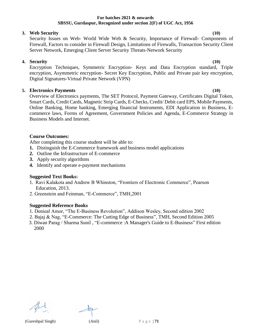#### **3. Web Security (10)**

Security Issues on Web- World Wide Web & Security, Importance of Firewall- Components of Firewall, Factors to consider in Firewall Design, Limitations of Firewalls, Transaction Security Client Server Network, Emerging Client Server Security Threats-Network Security

### **4. Security (10)**

Encryption Techniques, Symmetric Encryption- Keys and Data Encryption standard, Triple encryption, Asymmetric encryption- Secret Key Encryption, Public and Private pair key encryption, Digital Signatures-Virtual Private Network (VPN)

### **5. Electronics Payments (10)**

Overview of Electronics payments, The SET Protocol, Payment Gateway, Certificates Digital Token, Smart Cards, Credit Cards, Magnetic Strip Cards, E-Checks, Credit/ Debit card EPS, Mobile Payments, Online Banking, Home banking, Emerging financial Instruments, EDI Application in Business, Ecommerce laws, Forms of Agreement, Government Policies and Agenda, E-Commerce Strategy in Business Models and Internet.

### **Course Outcomes:**

After completing this course student will be able to:

- **1.** Distinguish the E-Commerce framework and business model applications
- **2.** Outline the Infrastructure of E-commerce
- **3.** Apply security algorithms
- **4.** Identify and operate e-payment mechanisms

### **Suggested Text Books:**

- 1. Ravi Kalakota and Andrew B Whinston, "Frontiers of Electronic Commerce", Pearson Education, 2013.
- 2. Greenstein and Feinman, "E-Commerce", TMH,2001

#### **Suggested Reference Books**

- 1. Denieal Amor, "The E-Business Revolution", Addison Wesley, Second edition 2002
- 2. Bajaj & Nag, "E-Commerce: The Cutting Edge of Business", TMH, Second Edition 2005
- 3. Diwan Parag / Sharma Sunil , "E-commerce :A Manager's Guide to E-Business" First edition 2000



(Gureshpal Singh) (Anil) P a g e | **71**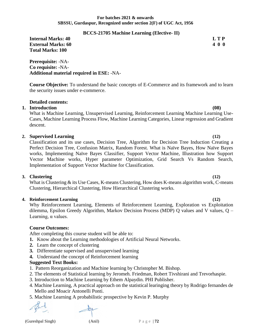### **BCCS-21705 Machine Learning (Elective- II)**

**Internal Marks: 40 L T P L T P External Marks: 60 4 0 0 Total Marks: 100**

**Prerequisite:** -NA-**Co requisite:** -NA-**Additional material required in ESE:** -NA-

**Course Objective:** To understand the basic concepts of E-Commerce and its framework and to learn the security issues under e-commerce.

# **Detailed contents:**

## **1. Introduction (08)**

What is Machine Learning, Unsupervised Learning, Reinforcement Learning Machine Learning Use-Cases, Machine Learning Process Flow, Machine Learning Categories, Linear regression and Gradient descent.

## **2. Supervised Learning (12)**

Classification and its use cases, Decision Tree, Algorithm for Decision Tree Induction Creating a Perfect Decision Tree, Confusion Matrix, Random Forest. What is Naïve Bayes, How Naïve Bayes works, Implementing Naïve Bayes Classifier, Support Vector Machine, Illustration how Support Vector Machine works, Hyper parameter Optimization, Grid Search Vs Random Search, Implementation of Support Vector Machine for Classification.

## **3. Clustering (12)**

What is Clustering & its Use Cases, K-means Clustering, How does K-means algorithm work, C-means Clustering, Hierarchical Clustering, How Hierarchical Clustering works.

## **4. Reinforcement Learning (12)**

Why Reinforcement Learning, Elements of Reinforcement Learning, Exploration vs Exploitation dilemma, Epsilon Greedy Algorithm, Markov Decision Process (MDP) Q values and V values, Q – Learning, α values.

## **Course Outcomes:**

After completing this course student will be able to:

**1.** Know about the Learning methodologies of Artificial Neural Networks.

- **2.** Learn the concept of clustering
- **3.** Differentiate supervised and unsupervised learning
- **4.** Understand the concept of Reinforcement learning

# **Suggested Text Books:**

- 1. Pattern Reorganization and Machine learning by Christopher M. Bishop.
- 2. The elements of Statistical learning by Jeromeh. Friedman, Robert Tivshirani and Trevorhaspie.
- 3. Introduction to Machine Learning by Ethem Alpaydin. PHI Publisher.
- 4. Machine Learning, A practical approach on the statistical learinging theory by Rodrigo fernandes de Mello and Moacir Antonelli Ponti.
- 5. Machine Learning A probabilistic prospective by Kevin P. Murphy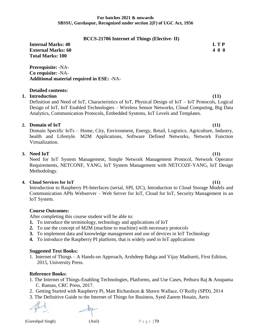#### **BCCS-21706 Internet of Things (Elective- II)**

**Internal Marks: 40 L T P External Marks: 60 4 0 0 Total Marks: 100**

**Prerequisite:** -NA-**Co requisite:** -NA-**Additional material required in ESE:** -NA-

### **Detailed contents:**

# **1. Introduction (11)**

Definition and Need of IoT, Characteristics of IoT, Physical Design of IoT – IoT Protocols, Logical Design of IoT, IoT Enabled Technologies – Wireless Sensor Networks, Cloud Computing, Big Data Analytics, Communication Protocols, Embedded Systems, IoT Levels and Templates.

### **2. Domain of IoT (11)**

Domain Specific IoTs – Home, City, Environment, Energy, Retail, Logistics, Agriculture, Industry, health and Lifestyle. M2M Applications, Software Defined Networks, Network Function Virtualization.

## **3. Need IoT (11)**

Need for IoT System Management, Simple Network Management Protocol, Network Operator Requirements, NETCONF, YANG, IoT System Management with NETCOZF-YANG, IoT Design Methodology.

#### **4. Cloud Services for IoT (11)**

Introduction to Raspberry PI-Interfaces (serial, SPI, I2C), Introduction to Cloud Storage Models and Communication APIs Webserver – Web Server for IoT, Cloud for IoT, Security Management in an IoT System.

### **Course Outcomes:**

After completing this course student will be able to:

- **1.** To introduce the terminology, technology and applications of IoT
- **2.** To use the concept of M2M (machine to machine) with necessary protocols
- **3.** To implement data and knowledge management and use of devices in IoT Technology
- **4.** To introduce the Raspberry PI platform, that is widely used in IoT applications

#### **Suggested Text Books:**

1. Internet of Things – A Hands-on Approach, Arshdeep Bahga and Vijay Madisetti, First Edition, 2015, University Press.

#### **Reference Books:**

- 1. The Internet of Things-Enabling Technologies, Platforms, and Use Cases, Pethuru Raj & Anupama C. Raman, CRC Press, 2017.
- 2. Getting Started with Raspberry Pi, Matt Richardson & Shawn Wallace, O'Reilly (SPD), 2014
- 3. The Definitive Guide to the Internet of Things for Business, Syed Zaeem Hosain, Aeris

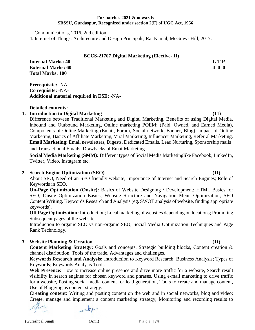**BCCS-21707 Digital Marketing (Elective- II)**

Communications, 2016, 2nd edition.

**Additional material required in ESE:** -NA-

**Total Marks: 100**

**Prerequisite:** -NA-**Co requisite:** -NA-

**Detailed contents:**

4. Internet of Things: Architecture and Design Principals, Raj Kamal, McGraw- Hill, 2017.

| vebsite, Posting social m |
|---------------------------|
| Blogging as content stra  |
| ng content: Writing an    |
| manage and implemen       |
|                           |

### Marketing, Basics of Affiliate Marketing, Viral Marketing, Influencer Marketing, Referral Marketing. **Email Marketing:** Email newsletters, Digests, Dedicated Emails, Lead Nurturing, Sponsorship mails

and Transactional Emails, Drawbacks of EmailMarketing

**Social Media Marketing (SMM):** Different types of Social Media Marketinglike Facebook, LinkedIn, Twitter, Video, Instagram etc.

Inbound and Outbound Marketing, Online marketing POEM: (Paid, Owned, and Earned Media), Components of Online Marketing (Email, Forum, Social network, Banner, Blog), Impact of Online

## **2. Search Engine Optimization (SEO) (11)**

About SEO, Need of an SEO friendly website, Importance of Internet and Search Engines; Role of Keywords in SEO.

**On-Page Optimization (Onsite):** Basics of Website Designing / Development; HTML Basics for SEO; Onsite Optimization Basics; Website Structure and Navigation Menu Optimization; SEO Content Writing. Keywords Research and Analysis (eg. SWOT analysis of website, finding appropriate keywords).

**Off Page Optimization:** Introduction; Local marketing of websites depending on locations; Promoting Subsequent pages of the website.

Introduction to organic SEO vs non-organic SEO; Social Media Optimization Techniques and Page Rank Technology.

## **3. Website Planning & Creation (11)**

**Content Marketing Strategy:** Goals and concepts, Strategic building blocks, Content creation & channel distribution, Tools of the trade, Advantages and challenges.

**Keywords Research and Analysis:** Introduction to Keyword Research; Business Analysis; Types of Keywords; Keywords Analysis Tools.

**Web Presence:** How to increase online presence and drive more traffic for a website, Search result visibility in search engines for chosen keyword and phrases, Using e-mail marketing to drive traffic for a website, Posting social media content for lead generation, Tools to create and manage content, Use of Blogging as content strategy.

**Creating content:** Writing and posting content on the web and in social networks, blog and video; Create, manage and implement a content marketing strategy; Monitoring and recording results to

**1. Introduction to Digital Marketing (11)** Difference between Traditional Marketing and Digital Marketing, Benefits of using Digital Media,

**Internal Marks: 40 L T P External Marks: 60 4 0 0**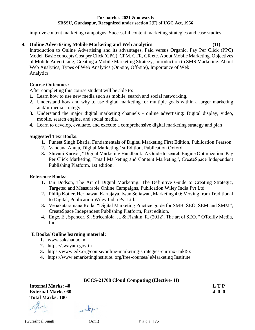improve content marketing campaigns; Successful content marketing strategies and case studies.

# **4. Online Advertising, Mobile Marketing and Web analytics (11)**

Introduction to Online Advertising and its advantages, Paid versus Organic, Pay Per Click (PPC) Model. Basic concepts Cost per Click (CPC), CPM, CTR, CR etc. About Mobile Marketing, Objectives of Mobile Advertising, Creating a Mobile Marketing Strategy, Introduction to SMS Marketing. About Web Analytics, Types of Web Analytics (On-site, Off-site), Importance of Web Analytics

# **Course Outcomes:**

After completing this course student will be able to:

- **1.** Learn how to use new media such as mobile, search and social networking.
- **2.** Understand how and why to use digital marketing for multiple goals within a larger marketing and/or media strategy.
- **3.** Understand the major digital marketing channels online advertising: Digital display, video, mobile, search engine, and social media.
- **4.** Learn to develop, evaluate, and execute a comprehensive digital marketing strategy and plan

# **Suggested Text Books:**

- **1.** Puneet Singh Bhatia, Fundamentals of Digital Marketing First Edition, Publication Pearson.
- **2.** Vandana Ahuja, Digital Marketing 1st Edition, Publication Oxford
- **3.** Shivani Karwal, "Digital Marketing Handbook: A Guide to search Engine Optimization, Pay Per Click Marketing, Email Marketing and Content Marketing", CreateSpace Independent Publishing Platform, 1st edition.

## **Reference Books:**

- **1.** Ian Dodson, The Art of Digital Marketing: The Definitive Guide to Creating Strategic, Targeted and Measurable Online Campaigns, Publication Wiley India Pvt Ltd.
- **2.** Philip Kotler, Hermawan Kartajaya, Iwan Setiawan, Marketing 4.0: Moving from Traditional to Digital, Publication Wiley India Pvt Ltd.
- **3.** Venakataramana Rolla, "Digital Marketing Practice guide for SMB: SEO, SEM and SMM", CreateSpace Independent Publishing Platform, First edition.
- **4.** Enge, E., Spencer, S., Stricchiola, J., & Fishkin, R. (2012). The art of SEO. " O'Reilly Media, Inc.".

# **E Books/ Online learning material:**

- **1.** www.sakshat.ac.in
- **2.** https://swayam.gov.in
- **3.** https://www.edx.org/course/online-marketing-strategies-curtinx- mkt5x
- **4.** https://www.emarketinginstitute. org/free-courses/ eMarketing Institute

## **BCCS-21708 Cloud Computing (Elective- II)**

**Internal Marks: 40 L T P External Marks: 60 4 0 0 Total Marks: 100**

(Gureshpal Singh) (Anil) P a g e | **75**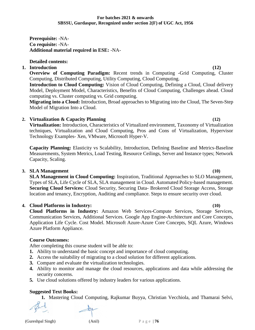**Prerequisite:** -NA-**Co requisite:** -NA-**Additional material required in ESE:** -NA-

**Detailed contents:**

# **1. Introduction (12)**

**Overview of Computing Paradigm:** Recent trends in Computing -Grid Computing, Cluster Computing, Distributed Computing, Utility Computing, Cloud Computing.

**Introduction to Cloud Computing:** Vision of Cloud Computing, Defining a Cloud, Cloud delivery Model, Deployment Model, Characteristics, Benefits of Cloud Computing, Challenges ahead. Cloud computing vs. Cluster computing vs. Grid computing.

**Migrating into a Cloud:** Introduction, Broad approaches to Migrating into the Cloud, The Seven-Step Model of Migration Into a Cloud.

# **2. Virtualization & Capacity Planning (12)**

**Virtualization:** Introduction, Characteristics of Virtualized environment, Taxonomy of Virtualization techniques, Virtualization and Cloud Computing, Pros and Cons of Virtualization, Hypervisor Technology Examples- Xen, VMware, Microsoft Hyper-V.

**Capacity Planning:** Elasticity vs Scalability, Introduction, Defining Baseline and Metrics-Baseline Measurements, System Metrics, Load Testing, Resource Ceilings, Server and Instance types; Network Capacity, Scaling.

# **3. SLA Management (10)**

**SLA Management in Cloud Computing:** Inspiration, Traditional Approaches to SLO Management, Types of SLA, Life Cycle of SLA, SLA management in Cloud. Automated Policy-based management. **Securing Cloud Services:** Cloud Security, Securing Data- Brokered Cloud Storage Access, Storage location and tenancy, Encryption, Auditing and compliance. Steps to ensure security over cloud.

# **4. Cloud Platforms in Industry: (10)**

**Cloud Platforms in Industry:** Amazon Web Services-Compute Services, Storage Services, Communication Services, Additional Services. Google App Engine-Architecture and Core Concepts, Application Life Cycle. Cost Model. Microsoft Azure-Azure Core Concepts, SQL Azure, Windows Azure Platform Appliance.

# **Course Outcomes:**

After completing this course student will be able to:

- **1.** Ability to understand the basic concept and importance of cloud computing.
- **2.** Access the suitability of migrating to a cloud solution for different applications.
- **3.** Compare and evaluate the virtualization technologies.
- **4.** Ability to monitor and manage the cloud resources, applications and data while addressing the security concerns.
- **5.** Use cloud solutions offered by industry leaders for various applications.

# **Suggested Text Books:**

**1.** Mastering Cloud Computing, Rajkumar Buyya, Christian Vecchiola, and Thamarai Selvi,